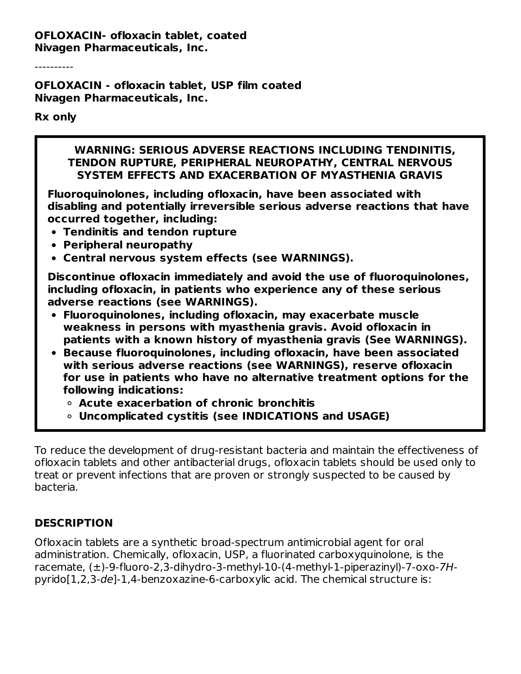#### **OFLOXACIN- ofloxacin tablet, coated Nivagen Pharmaceuticals, Inc.**

----------

**OFLOXACIN - ofloxacin tablet, USP film coated Nivagen Pharmaceuticals, Inc.**

**Rx only**

#### **WARNING: SERIOUS ADVERSE REACTIONS INCLUDING TENDINITIS, TENDON RUPTURE, PERIPHERAL NEUROPATHY, CENTRAL NERVOUS SYSTEM EFFECTS AND EXACERBATION OF MYASTHENIA GRAVIS**

**Fluoroquinolones, including ofloxacin, have been associated with disabling and potentially irreversible serious adverse reactions that have occurred together, including:**

- **Tendinitis and tendon rupture**
- **Peripheral neuropathy**
- **Central nervous system effects (see WARNINGS).**

**Discontinue ofloxacin immediately and avoid the use of fluoroquinolones, including ofloxacin, in patients who experience any of these serious adverse reactions (see WARNINGS).**

- **Fluoroquinolones, including ofloxacin, may exacerbate muscle weakness in persons with myasthenia gravis. Avoid ofloxacin in patients with a known history of myasthenia gravis (See WARNINGS).**
- **Because fluoroquinolones, including ofloxacin, have been associated with serious adverse reactions (see WARNINGS), reserve ofloxacin for use in patients who have no alternative treatment options for the following indications:**
	- **Acute exacerbation of chronic bronchitis**
	- **Uncomplicated cystitis (see INDICATIONS and USAGE)**

To reduce the development of drug-resistant bacteria and maintain the effectiveness of ofloxacin tablets and other antibacterial drugs, ofloxacin tablets should be used only to treat or prevent infections that are proven or strongly suspected to be caused by bacteria.

## **DESCRIPTION**

Ofloxacin tablets are a synthetic broad-spectrum antimicrobial agent for oral administration. Chemically, ofloxacin, USP, a fluorinated carboxyquinolone, is the racemate, (±)-9-fluoro-2,3-dihydro-3-methyl-10-(4-methyl-1-piperazinyl)-7-oxo-7Hpyrido[1,2,3-de]-1,4-benzoxazine-6-carboxylic acid. The chemical structure is: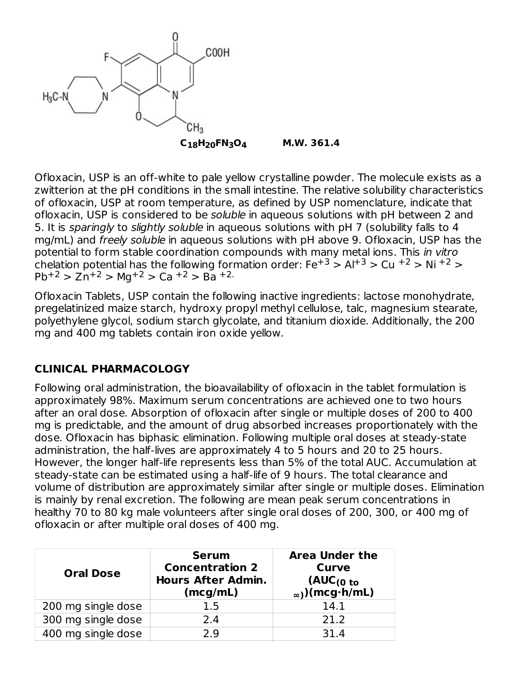

Ofloxacin, USP is an off-white to pale yellow crystalline powder. The molecule exists as a zwitterion at the pH conditions in the small intestine. The relative solubility characteristics of ofloxacin, USP at room temperature, as defined by USP nomenclature, indicate that ofloxacin, USP is considered to be soluble in aqueous solutions with pH between 2 and 5. It is sparingly to slightly soluble in aqueous solutions with pH 7 (solubility falls to 4 mg/mL) and freely soluble in aqueous solutions with pH above 9. Ofloxacin, USP has the potential to form stable coordination compounds with many metal ions. This in vitro chelation potential has the following formation order:  $Fe^{+3} > Al^{+3} > Cu^{-2} > Ni^{-2} >$  $Pb+2 > Zn+2 > Mg+2 > Ca +2 > Ba +2.$ 

Ofloxacin Tablets, USP contain the following inactive ingredients: lactose monohydrate, pregelatinized maize starch, hydroxy propyl methyl cellulose, talc, magnesium stearate, polyethylene glycol, sodium starch glycolate, and titanium dioxide. Additionally, the 200 mg and 400 mg tablets contain iron oxide yellow.

# **CLINICAL PHARMACOLOGY**

Following oral administration, the bioavailability of ofloxacin in the tablet formulation is approximately 98%. Maximum serum concentrations are achieved one to two hours after an oral dose. Absorption of ofloxacin after single or multiple doses of 200 to 400 mg is predictable, and the amount of drug absorbed increases proportionately with the dose. Ofloxacin has biphasic elimination. Following multiple oral doses at steady-state administration, the half-lives are approximately 4 to 5 hours and 20 to 25 hours. However, the longer half-life represents less than 5% of the total AUC. Accumulation at steady-state can be estimated using a half-life of 9 hours. The total clearance and volume of distribution are approximately similar after single or multiple doses. Elimination is mainly by renal excretion. The following are mean peak serum concentrations in healthy 70 to 80 kg male volunteers after single oral doses of 200, 300, or 400 mg of ofloxacin or after multiple oral doses of 400 mg.

| <b>Oral Dose</b>   | <b>Serum</b><br><b>Concentration 2</b><br><b>Hours After Admin.</b><br>(mcg/mL) | <b>Area Under the</b><br>Curve<br>$(AUC_{(0\text{ to } }$<br>$_{\infty}$ )(mcg·h/mL) |
|--------------------|---------------------------------------------------------------------------------|--------------------------------------------------------------------------------------|
| 200 mg single dose | 1.5                                                                             | 14.1                                                                                 |
| 300 mg single dose | 2.4                                                                             | 21.2                                                                                 |
| 400 mg single dose | 2 g                                                                             | 31.4                                                                                 |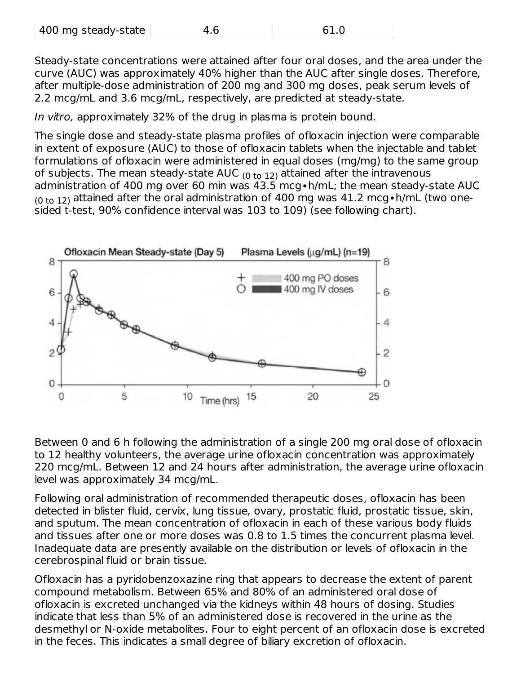Steady-state concentrations were attained after four oral doses, and the area under the curve (AUC) was approximately 40% higher than the AUC after single doses. Therefore, after multiple-dose administration of 200 mg and 300 mg doses, peak serum levels of 2.2 mcg/mL and 3.6 mcg/mL, respectively, are predicted at steady-state.

In vitro, approximately 32% of the drug in plasma is protein bound.

The single dose and steady-state plasma profiles of ofloxacin injection were comparable in extent of exposure (AUC) to those of ofloxacin tablets when the injectable and tablet formulations of ofloxacin were administered in equal doses (mg/mg) to the same group of subjects. The mean steady-state AUC <sub>(0 to 12)</sub> attained after the intravenous administration of 400 mg over 60 min was 43.5 mcg∙h/mL; the mean steady-state AUC <sub>(0 to 12)</sub> attained after the oral administration of 400 mg was 41.2 mcg•h/mL (two onesided t-test, 90% confidence interval was 103 to 109) (see following chart).



Between 0 and 6 h following the administration of a single 200 mg oral dose of ofloxacin to 12 healthy volunteers, the average urine ofloxacin concentration was approximately 220 mcg/mL. Between 12 and 24 hours after administration, the average urine ofloxacin level was approximately 34 mcg/mL.

Following oral administration of recommended therapeutic doses, ofloxacin has been detected in blister fluid, cervix, lung tissue, ovary, prostatic fluid, prostatic tissue, skin, and sputum. The mean concentration of ofloxacin in each of these various body fluids and tissues after one or more doses was 0.8 to 1.5 times the concurrent plasma level. Inadequate data are presently available on the distribution or levels of ofloxacin in the cerebrospinal fluid or brain tissue.

Ofloxacin has a pyridobenzoxazine ring that appears to decrease the extent of parent compound metabolism. Between 65% and 80% of an administered oral dose of ofloxacin is excreted unchanged via the kidneys within 48 hours of dosing. Studies indicate that less than 5% of an administered dose is recovered in the urine as the desmethyl or N-oxide metabolites. Four to eight percent of an ofloxacin dose is excreted in the feces. This indicates a small degree of biliary excretion of ofloxacin.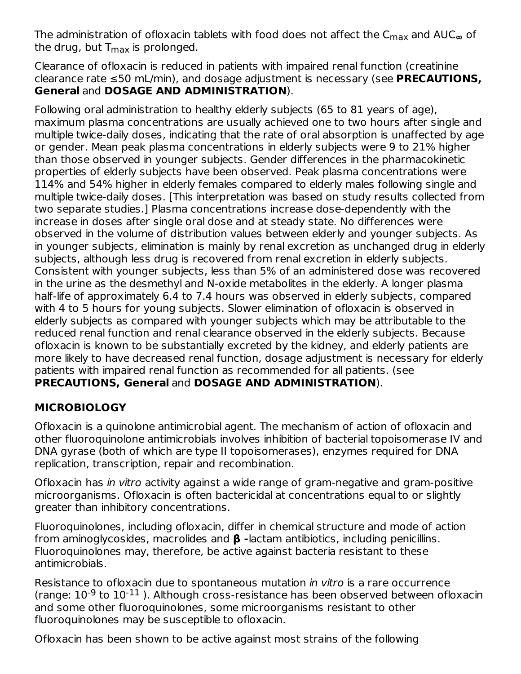The administration of ofloxacin tablets with food does not affect the C<sub>max</sub> and AUC<sub>∞</sub> of the drug, but T $_{\sf max}$  is prolonged.

Clearance of ofloxacin is reduced in patients with impaired renal function (creatinine clearance rate ≤50 mL/min), and dosage adjustment is necessary (see **PRECAUTIONS, General** and **DOSAGE AND ADMINISTRATION**).

Following oral administration to healthy elderly subjects (65 to 81 years of age), maximum plasma concentrations are usually achieved one to two hours after single and multiple twice-daily doses, indicating that the rate of oral absorption is unaffected by age or gender. Mean peak plasma concentrations in elderly subjects were 9 to 21% higher than those observed in younger subjects. Gender differences in the pharmacokinetic properties of elderly subjects have been observed. Peak plasma concentrations were 114% and 54% higher in elderly females compared to elderly males following single and multiple twice-daily doses. [This interpretation was based on study results collected from two separate studies.] Plasma concentrations increase dose-dependently with the increase in doses after single oral dose and at steady state. No differences were observed in the volume of distribution values between elderly and younger subjects. As in younger subjects, elimination is mainly by renal excretion as unchanged drug in elderly subjects, although less drug is recovered from renal excretion in elderly subjects. Consistent with younger subjects, less than 5% of an administered dose was recovered in the urine as the desmethyl and N-oxide metabolites in the elderly. A longer plasma half-life of approximately 6.4 to 7.4 hours was observed in elderly subjects, compared with 4 to 5 hours for young subjects. Slower elimination of ofloxacin is observed in elderly subjects as compared with younger subjects which may be attributable to the reduced renal function and renal clearance observed in the elderly subjects. Because ofloxacin is known to be substantially excreted by the kidney, and elderly patients are more likely to have decreased renal function, dosage adjustment is necessary for elderly patients with impaired renal function as recommended for all patients. (see **PRECAUTIONS, General** and **DOSAGE AND ADMINISTRATION**).

## **MICROBIOLOGY**

Ofloxacin is a quinolone antimicrobial agent. The mechanism of action of ofloxacin and other fluoroquinolone antimicrobials involves inhibition of bacterial topoisomerase IV and DNA gyrase (both of which are type II topoisomerases), enzymes required for DNA replication, transcription, repair and recombination.

Ofloxacin has in vitro activity against a wide range of gram-negative and gram-positive microorganisms. Ofloxacin is often bactericidal at concentrations equal to or slightly greater than inhibitory concentrations.

Fluoroquinolones, including ofloxacin, differ in chemical structure and mode of action from aminoglycosides, macrolides and **β -**lactam antibiotics, including penicillins. Fluoroquinolones may, therefore, be active against bacteria resistant to these antimicrobials.

Resistance to ofloxacin due to spontaneous mutation in vitro is a rare occurrence (range:  $10^{-9}$  to  $10^{-11}$  ). Although cross-resistance has been observed between ofloxacin and some other fluoroquinolones, some microorganisms resistant to other fluoroquinolones may be susceptible to ofloxacin.

Ofloxacin has been shown to be active against most strains of the following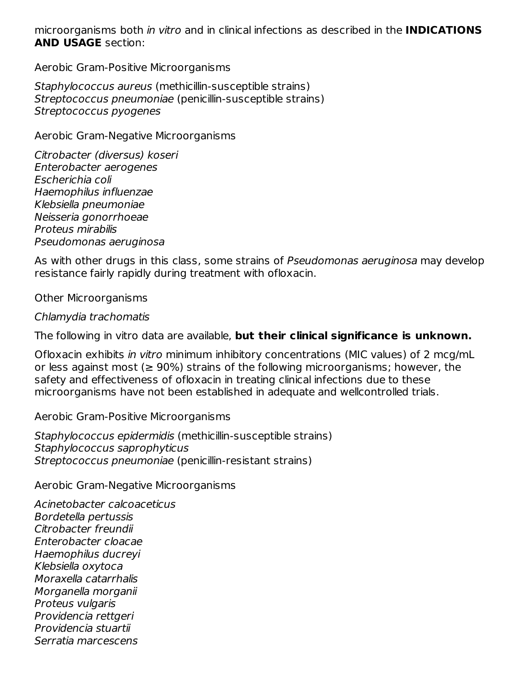microorganisms both in vitro and in clinical infections as described in the **INDICATIONS AND USAGE** section:

Aerobic Gram-Positive Microorganisms

Staphylococcus aureus (methicillin-susceptible strains) Streptococcus pneumoniae (penicillin-susceptible strains) Streptococcus pyogenes

Aerobic Gram-Negative Microorganisms

Citrobacter (diversus) koseri Enterobacter aerogenes Escherichia coli Haemophilus influenzae Klebsiella pneumoniae Neisseria gonorrhoeae Proteus mirabilis Pseudomonas aeruginosa

As with other drugs in this class, some strains of Pseudomonas aeruginosa may develop resistance fairly rapidly during treatment with ofloxacin.

Other Microorganisms

Chlamydia trachomatis

The following in vitro data are available, **but their clinical significance is unknown.**

Ofloxacin exhibits in vitro minimum inhibitory concentrations (MIC values) of 2 mcg/mL or less against most ( $\geq 90\%$ ) strains of the following microorganisms; however, the safety and effectiveness of ofloxacin in treating clinical infections due to these microorganisms have not been established in adequate and wellcontrolled trials.

Aerobic Gram-Positive Microorganisms

Staphylococcus epidermidis (methicillin-susceptible strains) Staphylococcus saprophyticus Streptococcus pneumoniae (penicillin-resistant strains)

Aerobic Gram-Negative Microorganisms

Acinetobacter calcoaceticus Bordetella pertussis Citrobacter freundii Enterobacter cloacae Haemophilus ducreyi Klebsiella oxytoca Moraxella catarrhalis Morganella morganii Proteus vulgaris Providencia rettgeri Providencia stuartii Serratia marcescens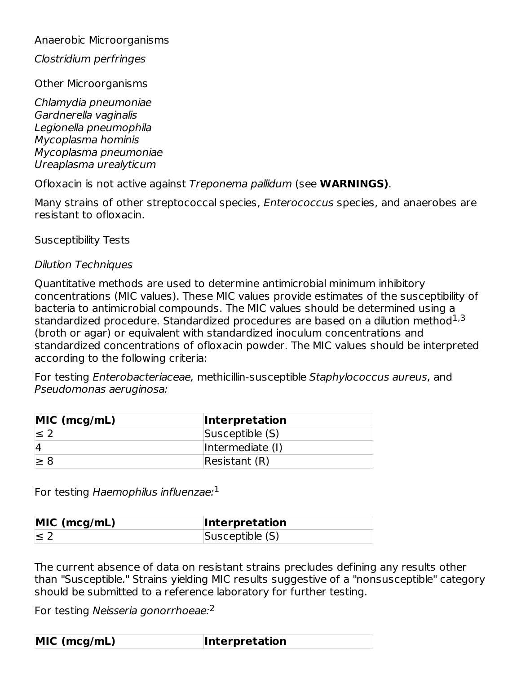Anaerobic Microorganisms

Clostridium perfringes

Other Microorganisms

Chlamydia pneumoniae Gardnerella vaginalis Legionella pneumophila Mycoplasma hominis Mycoplasma pneumoniae Ureaplasma urealyticum

Ofloxacin is not active against Treponema pallidum (see **WARNINGS)**.

Many strains of other streptococcal species, Enterococcus species, and anaerobes are resistant to ofloxacin.

Susceptibility Tests

#### Dilution Techniques

Quantitative methods are used to determine antimicrobial minimum inhibitory concentrations (MIC values). These MIC values provide estimates of the susceptibility of bacteria to antimicrobial compounds. The MIC values should be determined using a standardized procedure. Standardized procedures are based on a dilution method $^{1,3}$ (broth or agar) or equivalent with standardized inoculum concentrations and standardized concentrations of ofloxacin powder. The MIC values should be interpreted according to the following criteria:

For testing Enterobacteriaceae, methicillin-susceptible Staphylococcus aureus, and Pseudomonas aeruginosa:

| MIC (mcg/mL) | <b>Interpretation</b> |  |
|--------------|-----------------------|--|
|              | Susceptible (S)       |  |
| I4           | Intermediate (I)      |  |
| $\geq 8$     | Resistant (R)         |  |

For testing Haemophilus influenzae:<sup>1</sup>

| MIC (mcg/mL) | <b>Interpretation</b> |
|--------------|-----------------------|
| $\leq$       | Susceptible (S)       |

The current absence of data on resistant strains precludes defining any results other than "Susceptible." Strains yielding MIC results suggestive of a "nonsusceptible" category should be submitted to a reference laboratory for further testing.

For testing *Neisseria gonorrhoeae:<sup>2</sup>* 

| MIC (mcg/mL) | Interpretation |
|--------------|----------------|
|              |                |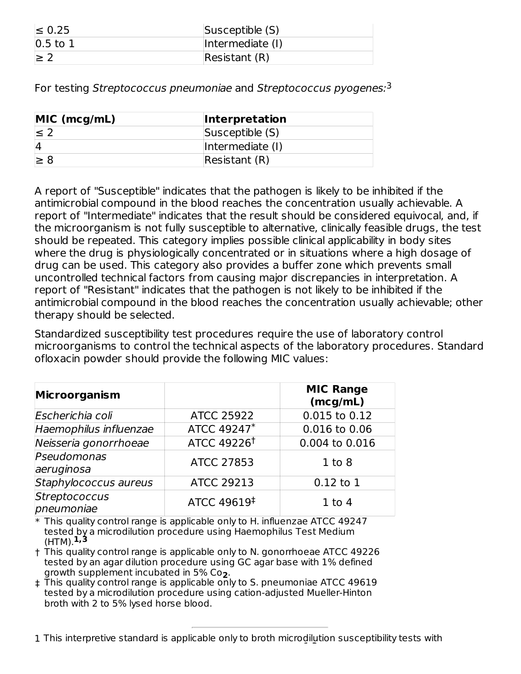| $\leq 0.25$ | Susceptible (S)  |  |
|-------------|------------------|--|
| $ 0.5$ to 1 | Intermediate (I) |  |
|             | Resistant(R)     |  |

For testing Streptococcus pneumoniae and Streptococcus pyogenes:<sup>3</sup>

| MIC (mcg/mL)<br><b>Interpretation</b> |                  |
|---------------------------------------|------------------|
| $\leq 2$                              | Susceptible (S)  |
|                                       | Intermediate (I) |
| $\geq 8$                              | Resistant(R)     |

A report of "Susceptible" indicates that the pathogen is likely to be inhibited if the antimicrobial compound in the blood reaches the concentration usually achievable. A report of "Intermediate" indicates that the result should be considered equivocal, and, if the microorganism is not fully susceptible to alternative, clinically feasible drugs, the test should be repeated. This category implies possible clinical applicability in body sites where the drug is physiologically concentrated or in situations where a high dosage of drug can be used. This category also provides a buffer zone which prevents small uncontrolled technical factors from causing major discrepancies in interpretation. A report of "Resistant" indicates that the pathogen is not likely to be inhibited if the antimicrobial compound in the blood reaches the concentration usually achievable; other therapy should be selected.

Standardized susceptibility test procedures require the use of laboratory control microorganisms to control the technical aspects of the laboratory procedures. Standard ofloxacin powder should provide the following MIC values:

| Microorganism               |                         | <b>MIC Range</b><br>(mcg/mL) |
|-----------------------------|-------------------------|------------------------------|
| Escherichia coli            | <b>ATCC 25922</b>       | 0.015 to 0.12                |
| Haemophilus influenzae      | ATCC 49247*             | 0.016 to 0.06                |
| Neisseria gonorrhoeae       | ATCC 49226 <sup>†</sup> | 0.004 to 0.016               |
| Pseudomonas<br>aeruginosa   | <b>ATCC 27853</b>       | $1$ to $8$                   |
| Staphylococcus aureus       | <b>ATCC 29213</b>       | $0.12$ to $1$                |
| Streptococcus<br>pneumoniae | ATCC 49619 <sup>‡</sup> | $1$ to $4$                   |

\* This quality control range is applicable only to H. influenzae ATCC 49247 tested by a microdilution procedure using Haemophilus Test Medium (HTM).**1,3**

† This quality control range is applicable only to N. gonorrhoeae ATCC 49226 tested by an agar dilution procedure using GC agar base with 1% defined growth supplement incubated in 5% Co**2**.

‡ This quality control range is applicable only to S. pneumoniae ATCC 49619 tested by a microdilution procedure using cation-adjusted Mueller-Hinton broth with 2 to 5% lysed horse blood.

1 This interpretive standard is applicable only to broth microdilution susceptibility tests with **1,3**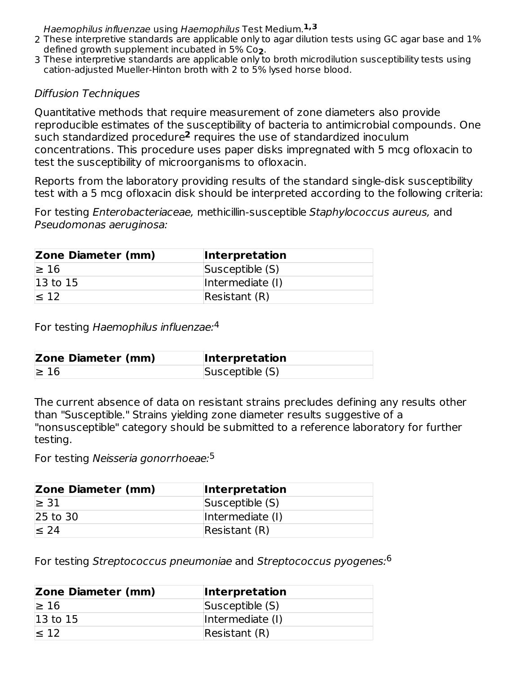Haemophilus influenzae using Haemophilus Test Medium.**1,3**

- 2 These interpretive standards are applicable only to agar dilution tests using GC agar base and 1% defined growth supplement incubated in 5% Co**2**.
- 3 These interpretive standards are applicable only to broth microdilution susceptibility tests using cation-adjusted Mueller-Hinton broth with 2 to 5% lysed horse blood.

## Diffusion Techniques

Quantitative methods that require measurement of zone diameters also provide reproducible estimates of the susceptibility of bacteria to antimicrobial compounds. One such standardized procedure $2$  requires the use of standardized inoculum concentrations. This procedure uses paper disks impregnated with 5 mcg ofloxacin to test the susceptibility of microorganisms to ofloxacin.

Reports from the laboratory providing results of the standard single-disk susceptibility test with a 5 mcg ofloxacin disk should be interpreted according to the following criteria:

For testing Enterobacteriaceae, methicillin-susceptible Staphylococcus aureus, and Pseudomonas aeruginosa:

| Zone Diameter (mm)    | <b>Interpretation</b> |  |
|-----------------------|-----------------------|--|
| $\geq 16$             | Susceptible (S)       |  |
| $ 13 \text{ to } 15 $ | Intermediate (I)      |  |
| $\leq 12$             | Resistant(R)          |  |

For testing Haemophilus influenzae:<sup>4</sup>

| Zone Diameter (mm) | Interpretation  |
|--------------------|-----------------|
| $\geq 16$          | Susceptible (S) |

The current absence of data on resistant strains precludes defining any results other than "Susceptible." Strains yielding zone diameter results suggestive of a "nonsusceptible" category should be submitted to a reference laboratory for further testing.

For testing Neisseria gonorrhoeae:<sup>5</sup>

| Zone Diameter (mm)    | <b>Interpretation</b> |  |
|-----------------------|-----------------------|--|
| $\geq 31$             | Susceptible (S)       |  |
| $ 25 \text{ to } 30 $ | Intermediate (I)      |  |
| $\leq 24$             | Resistant $(R)$       |  |

For testing Streptococcus pneumoniae and Streptococcus pyogenes: 6

| Zone Diameter (mm)   | <b>Interpretation</b> |  |
|----------------------|-----------------------|--|
| $\geq 16$            | Susceptible (S)       |  |
| $ 13 \text{ to } 15$ | Intermediate (I)      |  |
| $\leq 12$            | Resistant $(R)$       |  |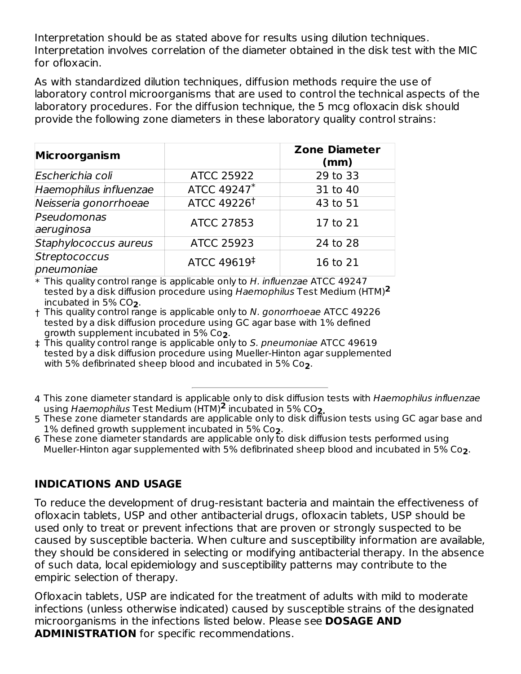Interpretation should be as stated above for results using dilution techniques. Interpretation involves correlation of the diameter obtained in the disk test with the MIC for ofloxacin.

As with standardized dilution techniques, diffusion methods require the use of laboratory control microorganisms that are used to control the technical aspects of the laboratory procedures. For the diffusion technique, the 5 mcg ofloxacin disk should provide the following zone diameters in these laboratory quality control strains:

| Microorganism               |                         | <b>Zone Diameter</b><br>(mm) |
|-----------------------------|-------------------------|------------------------------|
| Escherichia coli            | <b>ATCC 25922</b>       | 29 to 33                     |
| Haemophilus influenzae      | ATCC 49247*             | 31 to 40                     |
| Neisseria gonorrhoeae       | ATCC 49226 <sup>t</sup> | 43 to 51                     |
| Pseudomonas<br>aeruginosa   | <b>ATCC 27853</b>       | 17 to 21                     |
| Staphylococcus aureus       | <b>ATCC 25923</b>       | 24 to 28                     |
| Streptococcus<br>pneumoniae | ATCC 49619 <sup>‡</sup> | 16 to 21                     |

\* This quality control range is applicable only to H. influenzae ATCC 49247 tested by a disk diffusion procedure using Haemophilus Test Medium (HTM) **2** incubated in 5%  $CO<sub>2</sub>$ .

- † This quality control range is applicable only to N. gonorrhoeae ATCC 49226 tested by a disk diffusion procedure using GC agar base with 1% defined growth supplement incubated in 5% Co**2**.
- ‡ This quality control range is applicable only to S. pneumoniae ATCC 49619 tested by a disk diffusion procedure using Mueller-Hinton agar supplemented with 5% defibrinated sheep blood and incubated in 5% Co**2**.
- 4 This zone diameter standard is applicab<u>l</u>e only to disk diffusion tests with *Haemophilus influenzae* using Haemophilus Test Medium (HTM)**<sup>2</sup>** incubated in 5% CO**2.**

5 These zone diameter standards are applicable only to disk diffusion tests using GC agar base and 1% defined growth supplement incubated in 5% Co**2**.

6 These zone diameter standards are applicable only to disk diffusion tests performed using Mueller-Hinton agar supplemented with 5% defibrinated sheep blood and incubated in 5% Co**2**.

## **INDICATIONS AND USAGE**

To reduce the development of drug-resistant bacteria and maintain the effectiveness of ofloxacin tablets, USP and other antibacterial drugs, ofloxacin tablets, USP should be used only to treat or prevent infections that are proven or strongly suspected to be caused by susceptible bacteria. When culture and susceptibility information are available, they should be considered in selecting or modifying antibacterial therapy. In the absence of such data, local epidemiology and susceptibility patterns may contribute to the empiric selection of therapy.

Ofloxacin tablets, USP are indicated for the treatment of adults with mild to moderate infections (unless otherwise indicated) caused by susceptible strains of the designated microorganisms in the infections listed below. Please see **DOSAGE AND ADMINISTRATION** for specific recommendations.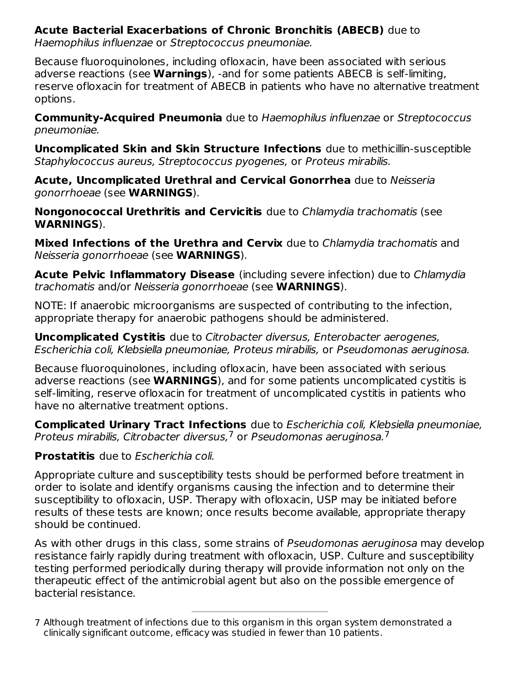### **Acute Bacterial Exacerbations of Chronic Bronchitis (ABECB)** due to

Haemophilus influenzae or Streptococcus pneumoniae.

Because fluoroquinolones, including ofloxacin, have been associated with serious adverse reactions (see **Warnings**), -and for some patients ABECB is self-limiting, reserve ofloxacin for treatment of ABECB in patients who have no alternative treatment options.

**Community-Acquired Pneumonia** due to Haemophilus influenzae or Streptococcus pneumoniae.

**Uncomplicated Skin and Skin Structure Infections** due to methicillin-susceptible Staphylococcus aureus, Streptococcus pyogenes, or Proteus mirabilis.

**Acute, Uncomplicated Urethral and Cervical Gonorrhea** due to Neisseria gonorrhoeae (see **WARNINGS**).

**Nongonococcal Urethritis and Cervicitis** due to Chlamydia trachomatis (see **WARNINGS**).

**Mixed Infections of the Urethra and Cervix** due to Chlamydia trachomatis and Neisseria gonorrhoeae (see **WARNINGS**).

**Acute Pelvic Inflammatory Disease** (including severe infection) due to Chlamydia trachomatis and/or Neisseria gonorrhoeae (see **WARNINGS**).

NOTE: If anaerobic microorganisms are suspected of contributing to the infection, appropriate therapy for anaerobic pathogens should be administered.

**Uncomplicated Cystitis** due to Citrobacter diversus, Enterobacter aerogenes, Escherichia coli, Klebsiella pneumoniae, Proteus mirabilis, or Pseudomonas aeruginosa.

Because fluoroquinolones, including ofloxacin, have been associated with serious adverse reactions (see **WARNINGS**), and for some patients uncomplicated cystitis is self-limiting, reserve ofloxacin for treatment of uncomplicated cystitis in patients who have no alternative treatment options.

**Complicated Urinary Tract Infections** due to Escherichia coli, Klebsiella pneumoniae, Proteus mirabilis, Citrobacter diversus, $^7$  or Pseudomonas aeruginosa. $^7$ 

## **Prostatitis** due to Escherichia coli.

Appropriate culture and susceptibility tests should be performed before treatment in order to isolate and identify organisms causing the infection and to determine their susceptibility to ofloxacin, USP. Therapy with ofloxacin, USP may be initiated before results of these tests are known; once results become available, appropriate therapy should be continued.

As with other drugs in this class, some strains of Pseudomonas aeruginosa may develop resistance fairly rapidly during treatment with ofloxacin, USP. Culture and susceptibility testing performed periodically during therapy will provide information not only on the therapeutic effect of the antimicrobial agent but also on the possible emergence of bacterial resistance.

7 Although treatment of infections due to this organism in this organ system demonstrated a clinically significant outcome, efficacy was studied in fewer than 10 patients.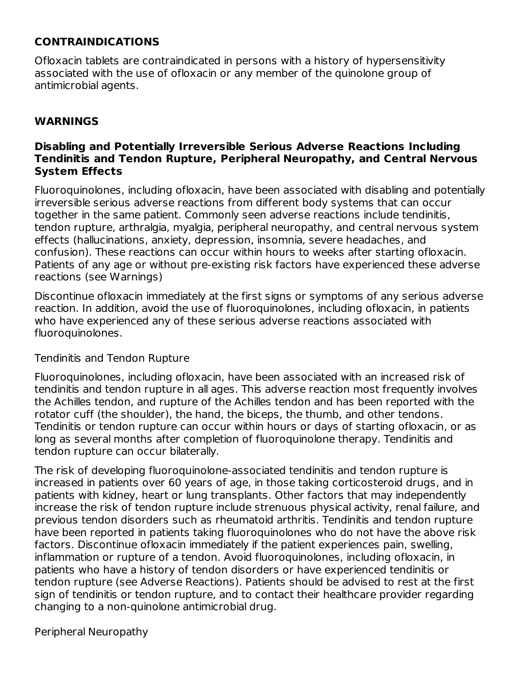### **CONTRAINDICATIONS**

Ofloxacin tablets are contraindicated in persons with a history of hypersensitivity associated with the use of ofloxacin or any member of the quinolone group of antimicrobial agents.

#### **WARNINGS**

#### **Disabling and Potentially Irreversible Serious Adverse Reactions Including Tendinitis and Tendon Rupture, Peripheral Neuropathy, and Central Nervous System Effects**

Fluoroquinolones, including ofloxacin, have been associated with disabling and potentially irreversible serious adverse reactions from different body systems that can occur together in the same patient. Commonly seen adverse reactions include tendinitis, tendon rupture, arthralgia, myalgia, peripheral neuropathy, and central nervous system effects (hallucinations, anxiety, depression, insomnia, severe headaches, and confusion). These reactions can occur within hours to weeks after starting ofloxacin. Patients of any age or without pre-existing risk factors have experienced these adverse reactions (see Warnings)

Discontinue ofloxacin immediately at the first signs or symptoms of any serious adverse reaction. In addition, avoid the use of fluoroquinolones, including ofloxacin, in patients who have experienced any of these serious adverse reactions associated with fluoroquinolones.

#### Tendinitis and Tendon Rupture

Fluoroquinolones, including ofloxacin, have been associated with an increased risk of tendinitis and tendon rupture in all ages. This adverse reaction most frequently involves the Achilles tendon, and rupture of the Achilles tendon and has been reported with the rotator cuff (the shoulder), the hand, the biceps, the thumb, and other tendons. Tendinitis or tendon rupture can occur within hours or days of starting ofloxacin, or as long as several months after completion of fluoroquinolone therapy. Tendinitis and tendon rupture can occur bilaterally.

The risk of developing fluoroquinolone-associated tendinitis and tendon rupture is increased in patients over 60 years of age, in those taking corticosteroid drugs, and in patients with kidney, heart or lung transplants. Other factors that may independently increase the risk of tendon rupture include strenuous physical activity, renal failure, and previous tendon disorders such as rheumatoid arthritis. Tendinitis and tendon rupture have been reported in patients taking fluoroquinolones who do not have the above risk factors. Discontinue ofloxacin immediately if the patient experiences pain, swelling, inflammation or rupture of a tendon. Avoid fluoroquinolones, including ofloxacin, in patients who have a history of tendon disorders or have experienced tendinitis or tendon rupture (see Adverse Reactions). Patients should be advised to rest at the first sign of tendinitis or tendon rupture, and to contact their healthcare provider regarding changing to a non-quinolone antimicrobial drug.

Peripheral Neuropathy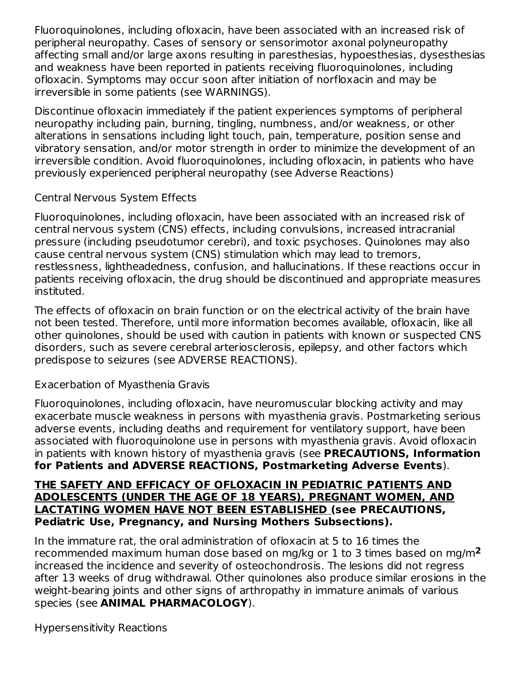Fluoroquinolones, including ofloxacin, have been associated with an increased risk of peripheral neuropathy. Cases of sensory or sensorimotor axonal polyneuropathy affecting small and/or large axons resulting in paresthesias, hypoesthesias, dysesthesias and weakness have been reported in patients receiving fluoroquinolones, including ofloxacin. Symptoms may occur soon after initiation of norfloxacin and may be irreversible in some patients (see WARNINGS).

Discontinue ofloxacin immediately if the patient experiences symptoms of peripheral neuropathy including pain, burning, tingling, numbness, and/or weakness, or other alterations in sensations including light touch, pain, temperature, position sense and vibratory sensation, and/or motor strength in order to minimize the development of an irreversible condition. Avoid fluoroquinolones, including ofloxacin, in patients who have previously experienced peripheral neuropathy (see Adverse Reactions)

### Central Nervous System Effects

Fluoroquinolones, including ofloxacin, have been associated with an increased risk of central nervous system (CNS) effects, including convulsions, increased intracranial pressure (including pseudotumor cerebri), and toxic psychoses. Quinolones may also cause central nervous system (CNS) stimulation which may lead to tremors, restlessness, lightheadedness, confusion, and hallucinations. If these reactions occur in patients receiving ofloxacin, the drug should be discontinued and appropriate measures instituted.

The effects of ofloxacin on brain function or on the electrical activity of the brain have not been tested. Therefore, until more information becomes available, ofloxacin, like all other quinolones, should be used with caution in patients with known or suspected CNS disorders, such as severe cerebral arteriosclerosis, epilepsy, and other factors which predispose to seizures (see ADVERSE REACTIONS).

## Exacerbation of Myasthenia Gravis

Fluoroquinolones, including ofloxacin, have neuromuscular blocking activity and may exacerbate muscle weakness in persons with myasthenia gravis. Postmarketing serious adverse events, including deaths and requirement for ventilatory support, have been associated with fluoroquinolone use in persons with myasthenia gravis. Avoid ofloxacin in patients with known history of myasthenia gravis (see **PRECAUTIONS, Information for Patients and ADVERSE REACTIONS, Postmarketing Adverse Events**).

#### **THE SAFETY AND EFFICACY OF OFLOXACIN IN PEDIATRIC PATIENTS AND ADOLESCENTS (UNDER THE AGE OF 18 YEARS), PREGNANT WOMEN, AND LACTATING WOMEN HAVE NOT BEEN ESTABLISHED (see PRECAUTIONS, Pediatric Use, Pregnancy, and Nursing Mothers Subsections).**

In the immature rat, the oral administration of ofloxacin at 5 to 16 times the recommended maximum human dose based on mg/kg or 1 to 3 times based on mg/m **2**increased the incidence and severity of osteochondrosis. The lesions did not regress after 13 weeks of drug withdrawal. Other quinolones also produce similar erosions in the weight-bearing joints and other signs of arthropathy in immature animals of various species (see **ANIMAL PHARMACOLOGY**).

Hypersensitivity Reactions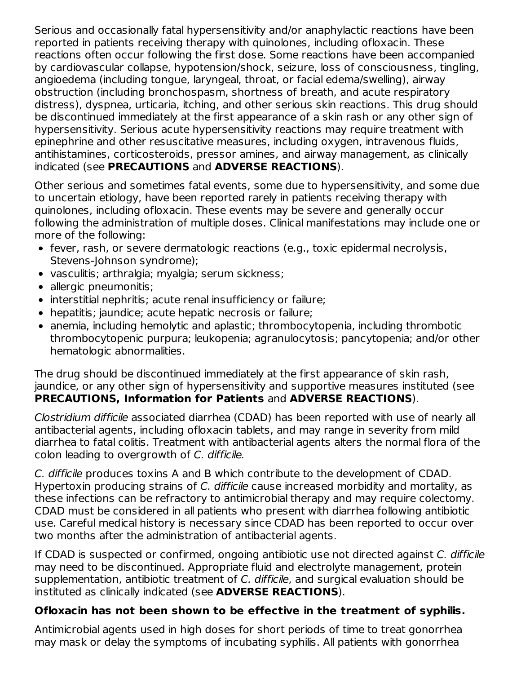Serious and occasionally fatal hypersensitivity and/or anaphylactic reactions have been reported in patients receiving therapy with quinolones, including ofloxacin. These reactions often occur following the first dose. Some reactions have been accompanied by cardiovascular collapse, hypotension/shock, seizure, loss of consciousness, tingling, angioedema (including tongue, laryngeal, throat, or facial edema/swelling), airway obstruction (including bronchospasm, shortness of breath, and acute respiratory distress), dyspnea, urticaria, itching, and other serious skin reactions. This drug should be discontinued immediately at the first appearance of a skin rash or any other sign of hypersensitivity. Serious acute hypersensitivity reactions may require treatment with epinephrine and other resuscitative measures, including oxygen, intravenous fluids, antihistamines, corticosteroids, pressor amines, and airway management, as clinically indicated (see **PRECAUTIONS** and **ADVERSE REACTIONS**).

Other serious and sometimes fatal events, some due to hypersensitivity, and some due to uncertain etiology, have been reported rarely in patients receiving therapy with quinolones, including ofloxacin. These events may be severe and generally occur following the administration of multiple doses. Clinical manifestations may include one or more of the following:

- fever, rash, or severe dermatologic reactions (e.g., toxic epidermal necrolysis, Stevens-Johnson syndrome);
- vasculitis; arthralgia; myalgia; serum sickness;
- allergic pneumonitis:
- interstitial nephritis; acute renal insufficiency or failure;
- hepatitis; jaundice; acute hepatic necrosis or failure;
- anemia, including hemolytic and aplastic; thrombocytopenia, including thrombotic thrombocytopenic purpura; leukopenia; agranulocytosis; pancytopenia; and/or other hematologic abnormalities.

The drug should be discontinued immediately at the first appearance of skin rash, jaundice, or any other sign of hypersensitivity and supportive measures instituted (see **PRECAUTIONS, Information for Patients** and **ADVERSE REACTIONS**).

Clostridium difficile associated diarrhea (CDAD) has been reported with use of nearly all antibacterial agents, including ofloxacin tablets, and may range in severity from mild diarrhea to fatal colitis. Treatment with antibacterial agents alters the normal flora of the colon leading to overgrowth of C. difficile.

C. difficile produces toxins A and B which contribute to the development of CDAD. Hypertoxin producing strains of C. difficile cause increased morbidity and mortality, as these infections can be refractory to antimicrobial therapy and may require colectomy. CDAD must be considered in all patients who present with diarrhea following antibiotic use. Careful medical history is necessary since CDAD has been reported to occur over two months after the administration of antibacterial agents.

If CDAD is suspected or confirmed, ongoing antibiotic use not directed against C. difficile may need to be discontinued. Appropriate fluid and electrolyte management, protein supplementation, antibiotic treatment of C. difficile, and surgical evaluation should be instituted as clinically indicated (see **ADVERSE REACTIONS**).

#### **Ofloxacin has not been shown to be effective in the treatment of syphilis.**

Antimicrobial agents used in high doses for short periods of time to treat gonorrhea may mask or delay the symptoms of incubating syphilis. All patients with gonorrhea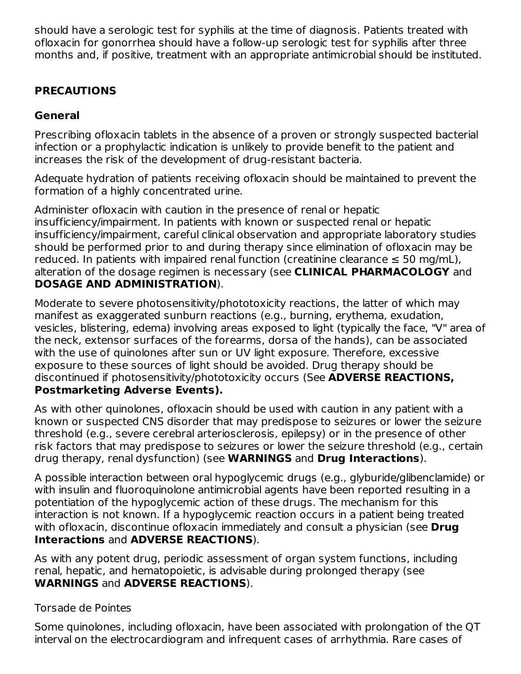should have a serologic test for syphilis at the time of diagnosis. Patients treated with ofloxacin for gonorrhea should have a follow-up serologic test for syphilis after three months and, if positive, treatment with an appropriate antimicrobial should be instituted.

# **PRECAUTIONS**

## **General**

Prescribing ofloxacin tablets in the absence of a proven or strongly suspected bacterial infection or a prophylactic indication is unlikely to provide benefit to the patient and increases the risk of the development of drug-resistant bacteria.

Adequate hydration of patients receiving ofloxacin should be maintained to prevent the formation of a highly concentrated urine.

Administer ofloxacin with caution in the presence of renal or hepatic insufficiency/impairment. In patients with known or suspected renal or hepatic insufficiency/impairment, careful clinical observation and appropriate laboratory studies should be performed prior to and during therapy since elimination of ofloxacin may be reduced. In patients with impaired renal function (creatinine clearance  $\leq 50$  mg/mL), alteration of the dosage regimen is necessary (see **CLINICAL PHARMACOLOGY** and **DOSAGE AND ADMINISTRATION**).

Moderate to severe photosensitivity/phototoxicity reactions, the latter of which may manifest as exaggerated sunburn reactions (e.g., burning, erythema, exudation, vesicles, blistering, edema) involving areas exposed to light (typically the face, "V" area of the neck, extensor surfaces of the forearms, dorsa of the hands), can be associated with the use of quinolones after sun or UV light exposure. Therefore, excessive exposure to these sources of light should be avoided. Drug therapy should be discontinued if photosensitivity/phototoxicity occurs (See **ADVERSE REACTIONS, Postmarketing Adverse Events).**

As with other quinolones, ofloxacin should be used with caution in any patient with a known or suspected CNS disorder that may predispose to seizures or lower the seizure threshold (e.g., severe cerebral arteriosclerosis, epilepsy) or in the presence of other risk factors that may predispose to seizures or lower the seizure threshold (e.g., certain drug therapy, renal dysfunction) (see **WARNINGS** and **Drug Interactions**).

A possible interaction between oral hypoglycemic drugs (e.g., glyburide/glibenclamide) or with insulin and fluoroquinolone antimicrobial agents have been reported resulting in a potentiation of the hypoglycemic action of these drugs. The mechanism for this interaction is not known. If a hypoglycemic reaction occurs in a patient being treated with ofloxacin, discontinue ofloxacin immediately and consult a physician (see **Drug Interactions** and **ADVERSE REACTIONS**).

As with any potent drug, periodic assessment of organ system functions, including renal, hepatic, and hematopoietic, is advisable during prolonged therapy (see **WARNINGS** and **ADVERSE REACTIONS**).

## Torsade de Pointes

Some quinolones, including ofloxacin, have been associated with prolongation of the QT interval on the electrocardiogram and infrequent cases of arrhythmia. Rare cases of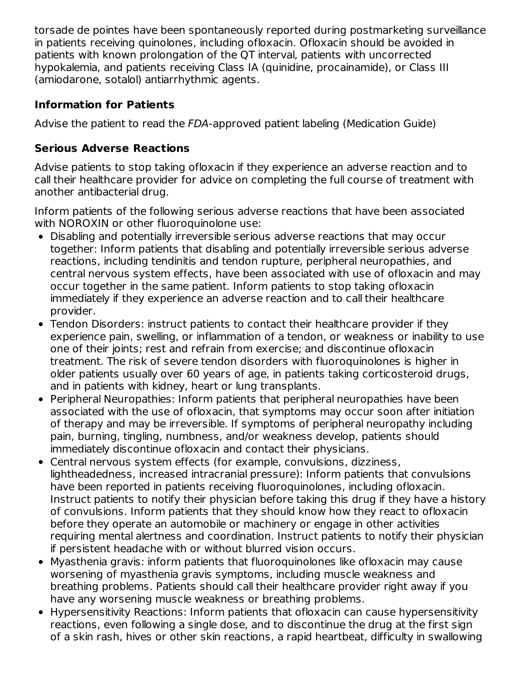torsade de pointes have been spontaneously reported during postmarketing surveillance in patients receiving quinolones, including ofloxacin. Ofloxacin should be avoided in patients with known prolongation of the QT interval, patients with uncorrected hypokalemia, and patients receiving Class IA (quinidine, procainamide), or Class III (amiodarone, sotalol) antiarrhythmic agents.

## **Information for Patients**

Advise the patient to read the FDA-approved patient labeling (Medication Guide)

# **Serious Adverse Reactions**

Advise patients to stop taking ofloxacin if they experience an adverse reaction and to call their healthcare provider for advice on completing the full course of treatment with another antibacterial drug.

Inform patients of the following serious adverse reactions that have been associated with NOROXIN or other fluoroquinolone use:

- Disabling and potentially irreversible serious adverse reactions that may occur together: Inform patients that disabling and potentially irreversible serious adverse reactions, including tendinitis and tendon rupture, peripheral neuropathies, and central nervous system effects, have been associated with use of ofloxacin and may occur together in the same patient. Inform patients to stop taking ofloxacin immediately if they experience an adverse reaction and to call their healthcare provider.
- Tendon Disorders: instruct patients to contact their healthcare provider if they experience pain, swelling, or inflammation of a tendon, or weakness or inability to use one of their joints; rest and refrain from exercise; and discontinue ofloxacin treatment. The risk of severe tendon disorders with fluoroquinolones is higher in older patients usually over 60 years of age, in patients taking corticosteroid drugs, and in patients with kidney, heart or lung transplants.
- Peripheral Neuropathies: Inform patients that peripheral neuropathies have been associated with the use of ofloxacin, that symptoms may occur soon after initiation of therapy and may be irreversible. If symptoms of peripheral neuropathy including pain, burning, tingling, numbness, and/or weakness develop, patients should immediately discontinue ofloxacin and contact their physicians.
- Central nervous system effects (for example, convulsions, dizziness, lightheadedness, increased intracranial pressure): Inform patients that convulsions have been reported in patients receiving fluoroquinolones, including ofloxacin. Instruct patients to notify their physician before taking this drug if they have a history of convulsions. Inform patients that they should know how they react to ofloxacin before they operate an automobile or machinery or engage in other activities requiring mental alertness and coordination. Instruct patients to notify their physician if persistent headache with or without blurred vision occurs.
- Myasthenia gravis: inform patients that fluoroquinolones like ofloxacin may cause worsening of myasthenia gravis symptoms, including muscle weakness and breathing problems. Patients should call their healthcare provider right away if you have any worsening muscle weakness or breathing problems.
- Hypersensitivity Reactions: Inform patients that ofloxacin can cause hypersensitivity reactions, even following a single dose, and to discontinue the drug at the first sign of a skin rash, hives or other skin reactions, a rapid heartbeat, difficulty in swallowing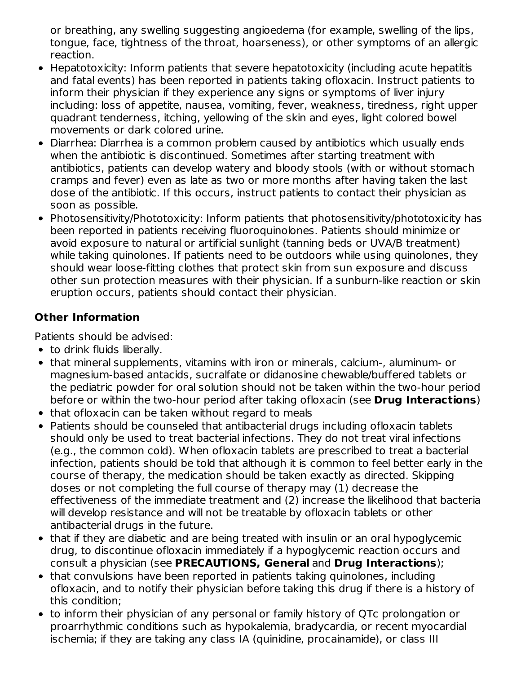or breathing, any swelling suggesting angioedema (for example, swelling of the lips, tongue, face, tightness of the throat, hoarseness), or other symptoms of an allergic reaction.

- Hepatotoxicity: Inform patients that severe hepatotoxicity (including acute hepatitis and fatal events) has been reported in patients taking ofloxacin. Instruct patients to inform their physician if they experience any signs or symptoms of liver injury including: loss of appetite, nausea, vomiting, fever, weakness, tiredness, right upper quadrant tenderness, itching, yellowing of the skin and eyes, light colored bowel movements or dark colored urine.
- Diarrhea: Diarrhea is a common problem caused by antibiotics which usually ends when the antibiotic is discontinued. Sometimes after starting treatment with antibiotics, patients can develop watery and bloody stools (with or without stomach cramps and fever) even as late as two or more months after having taken the last dose of the antibiotic. If this occurs, instruct patients to contact their physician as soon as possible.
- Photosensitivity/Phototoxicity: Inform patients that photosensitivity/phototoxicity has been reported in patients receiving fluoroquinolones. Patients should minimize or avoid exposure to natural or artificial sunlight (tanning beds or UVA/B treatment) while taking quinolones. If patients need to be outdoors while using quinolones, they should wear loose-fitting clothes that protect skin from sun exposure and discuss other sun protection measures with their physician. If a sunburn-like reaction or skin eruption occurs, patients should contact their physician.

# **Other Information**

Patients should be advised:

- to drink fluids liberally.
- that mineral supplements, vitamins with iron or minerals, calcium-, aluminum- or magnesium-based antacids, sucralfate or didanosine chewable/buffered tablets or the pediatric powder for oral solution should not be taken within the two-hour period before or within the two-hour period after taking ofloxacin (see **Drug Interactions**)
- that ofloxacin can be taken without regard to meals
- Patients should be counseled that antibacterial drugs including ofloxacin tablets should only be used to treat bacterial infections. They do not treat viral infections (e.g., the common cold). When ofloxacin tablets are prescribed to treat a bacterial infection, patients should be told that although it is common to feel better early in the course of therapy, the medication should be taken exactly as directed. Skipping doses or not completing the full course of therapy may (1) decrease the effectiveness of the immediate treatment and (2) increase the likelihood that bacteria will develop resistance and will not be treatable by ofloxacin tablets or other antibacterial drugs in the future.
- that if they are diabetic and are being treated with insulin or an oral hypoglycemic drug, to discontinue ofloxacin immediately if a hypoglycemic reaction occurs and consult a physician (see **PRECAUTIONS, General** and **Drug Interactions**);
- that convulsions have been reported in patients taking quinolones, including ofloxacin, and to notify their physician before taking this drug if there is a history of this condition;
- to inform their physician of any personal or family history of QTc prolongation or proarrhythmic conditions such as hypokalemia, bradycardia, or recent myocardial ischemia; if they are taking any class IA (quinidine, procainamide), or class III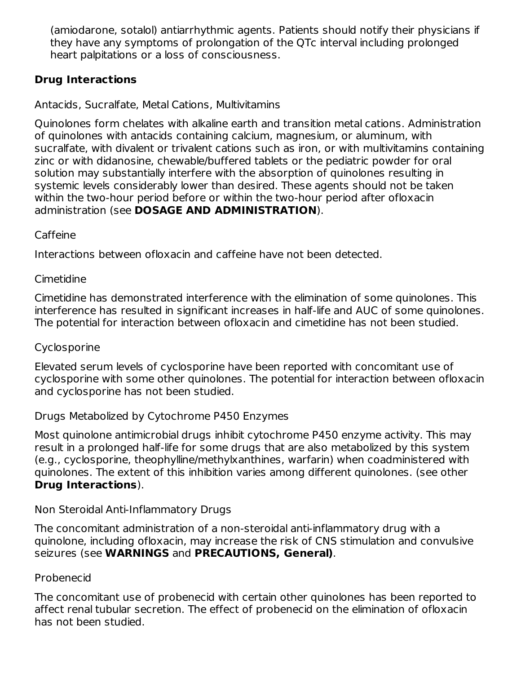(amiodarone, sotalol) antiarrhythmic agents. Patients should notify their physicians if they have any symptoms of prolongation of the QTc interval including prolonged heart palpitations or a loss of consciousness.

## **Drug Interactions**

Antacids, Sucralfate, Metal Cations, Multivitamins

Quinolones form chelates with alkaline earth and transition metal cations. Administration of quinolones with antacids containing calcium, magnesium, or aluminum, with sucralfate, with divalent or trivalent cations such as iron, or with multivitamins containing zinc or with didanosine, chewable/buffered tablets or the pediatric powder for oral solution may substantially interfere with the absorption of quinolones resulting in systemic levels considerably lower than desired. These agents should not be taken within the two-hour period before or within the two-hour period after ofloxacin administration (see **DOSAGE AND ADMINISTRATION**).

### **Caffeine**

Interactions between ofloxacin and caffeine have not been detected.

### Cimetidine

Cimetidine has demonstrated interference with the elimination of some quinolones. This interference has resulted in significant increases in half-life and AUC of some quinolones. The potential for interaction between ofloxacin and cimetidine has not been studied.

## Cyclosporine

Elevated serum levels of cyclosporine have been reported with concomitant use of cyclosporine with some other quinolones. The potential for interaction between ofloxacin and cyclosporine has not been studied.

## Drugs Metabolized by Cytochrome P450 Enzymes

Most quinolone antimicrobial drugs inhibit cytochrome P450 enzyme activity. This may result in a prolonged half-life for some drugs that are also metabolized by this system (e.g., cyclosporine, theophylline/methylxanthines, warfarin) when coadministered with quinolones. The extent of this inhibition varies among different quinolones. (see other **Drug Interactions**).

## Non Steroidal Anti-Inflammatory Drugs

The concomitant administration of a non-steroidal anti-inflammatory drug with a quinolone, including ofloxacin, may increase the risk of CNS stimulation and convulsive seizures (see **WARNINGS** and **PRECAUTIONS, General)**.

## Probenecid

The concomitant use of probenecid with certain other quinolones has been reported to affect renal tubular secretion. The effect of probenecid on the elimination of ofloxacin has not been studied.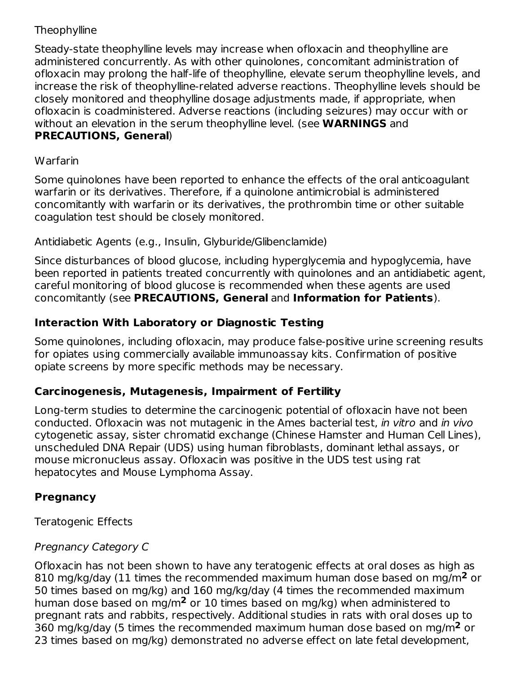## **Theophylline**

Steady-state theophylline levels may increase when ofloxacin and theophylline are administered concurrently. As with other quinolones, concomitant administration of ofloxacin may prolong the half-life of theophylline, elevate serum theophylline levels, and increase the risk of theophylline-related adverse reactions. Theophylline levels should be closely monitored and theophylline dosage adjustments made, if appropriate, when ofloxacin is coadministered. Adverse reactions (including seizures) may occur with or without an elevation in the serum theophylline level. (see **WARNINGS** and **PRECAUTIONS, General**)

## Warfarin

Some quinolones have been reported to enhance the effects of the oral anticoagulant warfarin or its derivatives. Therefore, if a quinolone antimicrobial is administered concomitantly with warfarin or its derivatives, the prothrombin time or other suitable coagulation test should be closely monitored.

## Antidiabetic Agents (e.g., Insulin, Glyburide/Glibenclamide)

Since disturbances of blood glucose, including hyperglycemia and hypoglycemia, have been reported in patients treated concurrently with quinolones and an antidiabetic agent, careful monitoring of blood glucose is recommended when these agents are used concomitantly (see **PRECAUTIONS, General** and **Information for Patients**).

## **Interaction With Laboratory or Diagnostic Testing**

Some quinolones, including ofloxacin, may produce false-positive urine screening results for opiates using commercially available immunoassay kits. Confirmation of positive opiate screens by more specific methods may be necessary.

## **Carcinogenesis, Mutagenesis, Impairment of Fertility**

Long-term studies to determine the carcinogenic potential of ofloxacin have not been conducted. Ofloxacin was not mutagenic in the Ames bacterial test, in vitro and in vivo cytogenetic assay, sister chromatid exchange (Chinese Hamster and Human Cell Lines), unscheduled DNA Repair (UDS) using human fibroblasts, dominant lethal assays, or mouse micronucleus assay. Ofloxacin was positive in the UDS test using rat hepatocytes and Mouse Lymphoma Assay.

# **Pregnancy**

Teratogenic Effects

# Pregnancy Category C

Ofloxacin has not been shown to have any teratogenic effects at oral doses as high as 810 mg/kg/day (11 times the recommended maximum human dose based on mg/m<sup>2</sup> or 50 times based on mg/kg) and 160 mg/kg/day (4 times the recommended maximum human dose based on mg/m<sup>2</sup> or 10 times based on mg/kg) when administered to pregnant rats and rabbits, respectively. Additional studies in rats with oral doses up to 360 mg/kg/day (5 times the recommended maximum human dose based on mg/m<sup>2</sup> or 23 times based on mg/kg) demonstrated no adverse effect on late fetal development,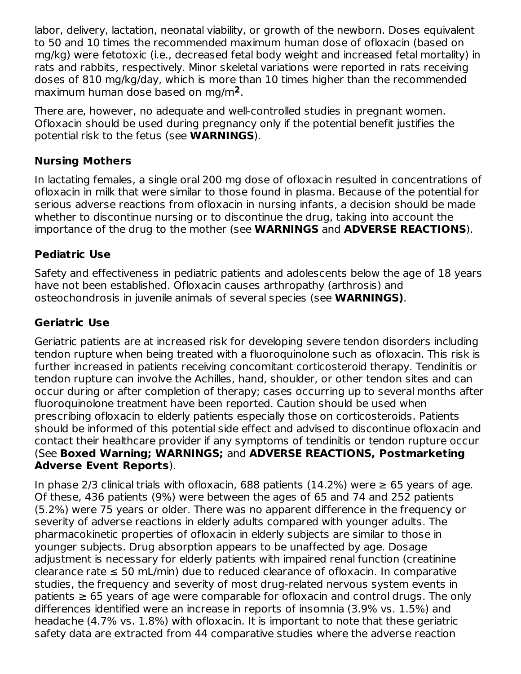labor, delivery, lactation, neonatal viability, or growth of the newborn. Doses equivalent to 50 and 10 times the recommended maximum human dose of ofloxacin (based on mg/kg) were fetotoxic (i.e., decreased fetal body weight and increased fetal mortality) in rats and rabbits, respectively. Minor skeletal variations were reported in rats receiving doses of 810 mg/kg/day, which is more than 10 times higher than the recommended maximum human dose based on mg/m<sup>2</sup>.

There are, however, no adequate and well-controlled studies in pregnant women. Ofloxacin should be used during pregnancy only if the potential benefit justifies the potential risk to the fetus (see **WARNINGS**).

### **Nursing Mothers**

In lactating females, a single oral 200 mg dose of ofloxacin resulted in concentrations of ofloxacin in milk that were similar to those found in plasma. Because of the potential for serious adverse reactions from ofloxacin in nursing infants, a decision should be made whether to discontinue nursing or to discontinue the drug, taking into account the importance of the drug to the mother (see **WARNINGS** and **ADVERSE REACTIONS**).

### **Pediatric Use**

Safety and effectiveness in pediatric patients and adolescents below the age of 18 years have not been established. Ofloxacin causes arthropathy (arthrosis) and osteochondrosis in juvenile animals of several species (see **WARNINGS)**.

### **Geriatric Use**

Geriatric patients are at increased risk for developing severe tendon disorders including tendon rupture when being treated with a fluoroquinolone such as ofloxacin. This risk is further increased in patients receiving concomitant corticosteroid therapy. Tendinitis or tendon rupture can involve the Achilles, hand, shoulder, or other tendon sites and can occur during or after completion of therapy; cases occurring up to several months after fluoroquinolone treatment have been reported. Caution should be used when prescribing ofloxacin to elderly patients especially those on corticosteroids. Patients should be informed of this potential side effect and advised to discontinue ofloxacin and contact their healthcare provider if any symptoms of tendinitis or tendon rupture occur (See **Boxed Warning; WARNINGS;** and **ADVERSE REACTIONS, Postmarketing Adverse Event Reports**).

In phase 2/3 clinical trials with ofloxacin, 688 patients (14.2%) were  $\geq$  65 years of age. Of these, 436 patients (9%) were between the ages of 65 and 74 and 252 patients (5.2%) were 75 years or older. There was no apparent difference in the frequency or severity of adverse reactions in elderly adults compared with younger adults. The pharmacokinetic properties of ofloxacin in elderly subjects are similar to those in younger subjects. Drug absorption appears to be unaffected by age. Dosage adjustment is necessary for elderly patients with impaired renal function (creatinine clearance rate  $\leq 50$  mL/min) due to reduced clearance of ofloxacin. In comparative studies, the frequency and severity of most drug-related nervous system events in  $p$  patients  $\geq 65$  years of age were comparable for ofloxacin and control drugs. The only differences identified were an increase in reports of insomnia (3.9% vs. 1.5%) and headache (4.7% vs. 1.8%) with ofloxacin. It is important to note that these geriatric safety data are extracted from 44 comparative studies where the adverse reaction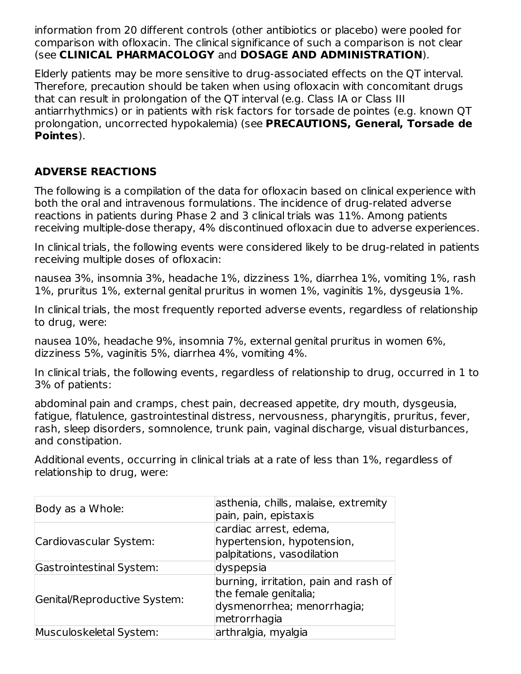information from 20 different controls (other antibiotics or placebo) were pooled for comparison with ofloxacin. The clinical significance of such a comparison is not clear (see **CLINICAL PHARMACOLOGY** and **DOSAGE AND ADMINISTRATION**).

Elderly patients may be more sensitive to drug-associated effects on the QT interval. Therefore, precaution should be taken when using ofloxacin with concomitant drugs that can result in prolongation of the QT interval (e.g. Class IA or Class III antiarrhythmics) or in patients with risk factors for torsade de pointes (e.g. known QT prolongation, uncorrected hypokalemia) (see **PRECAUTIONS, General, Torsade de Pointes**).

## **ADVERSE REACTIONS**

The following is a compilation of the data for ofloxacin based on clinical experience with both the oral and intravenous formulations. The incidence of drug-related adverse reactions in patients during Phase 2 and 3 clinical trials was 11%. Among patients receiving multiple-dose therapy, 4% discontinued ofloxacin due to adverse experiences.

In clinical trials, the following events were considered likely to be drug-related in patients receiving multiple doses of ofloxacin:

nausea 3%, insomnia 3%, headache 1%, dizziness 1%, diarrhea 1%, vomiting 1%, rash 1%, pruritus 1%, external genital pruritus in women 1%, vaginitis 1%, dysgeusia 1%.

In clinical trials, the most frequently reported adverse events, regardless of relationship to drug, were:

nausea 10%, headache 9%, insomnia 7%, external genital pruritus in women 6%, dizziness 5%, vaginitis 5%, diarrhea 4%, vomiting 4%.

In clinical trials, the following events, regardless of relationship to drug, occurred in 1 to 3% of patients:

abdominal pain and cramps, chest pain, decreased appetite, dry mouth, dysgeusia, fatigue, flatulence, gastrointestinal distress, nervousness, pharyngitis, pruritus, fever, rash, sleep disorders, somnolence, trunk pain, vaginal discharge, visual disturbances, and constipation.

Additional events, occurring in clinical trials at a rate of less than 1%, regardless of relationship to drug, were:

| Body as a Whole:             | asthenia, chills, malaise, extremity<br>pain, pain, epistaxis                                                |  |  |  |  |
|------------------------------|--------------------------------------------------------------------------------------------------------------|--|--|--|--|
| Cardiovascular System:       | cardiac arrest, edema,<br>hypertension, hypotension,<br>palpitations, vasodilation                           |  |  |  |  |
| Gastrointestinal System:     | dyspepsia                                                                                                    |  |  |  |  |
| Genital/Reproductive System: | burning, irritation, pain and rash of<br>the female genitalia;<br>dysmenorrhea; menorrhagia;<br>metrorrhagia |  |  |  |  |
| Musculoskeletal System:      | arthralgia, myalgia                                                                                          |  |  |  |  |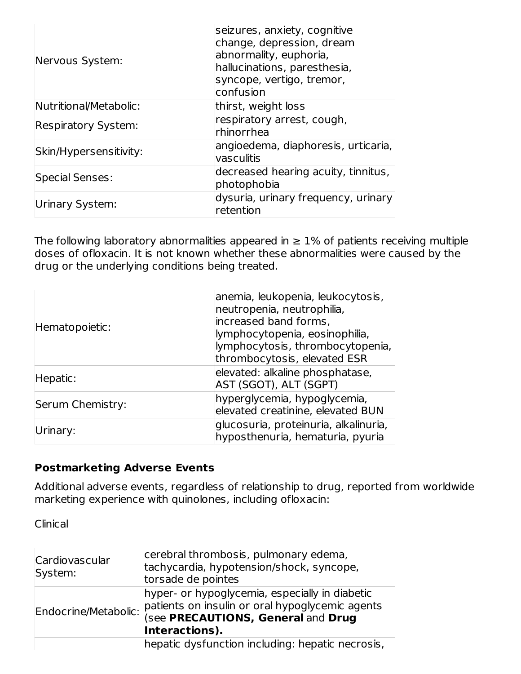| Nervous System:            | seizures, anxiety, cognitive<br>change, depression, dream<br>abnormality, euphoria,<br>hallucinations, paresthesia,<br>syncope, vertigo, tremor,<br>confusion |
|----------------------------|---------------------------------------------------------------------------------------------------------------------------------------------------------------|
| Nutritional/Metabolic:     | thirst, weight loss                                                                                                                                           |
| <b>Respiratory System:</b> | respiratory arrest, cough,<br>rhinorrhea                                                                                                                      |
| Skin/Hypersensitivity:     | angioedema, diaphoresis, urticaria,<br>vasculitis                                                                                                             |
| Special Senses:            | decreased hearing acuity, tinnitus,<br>photophobia                                                                                                            |
| Urinary System:            | dysuria, urinary frequency, urinary<br>retention                                                                                                              |

The following laboratory abnormalities appeared in  $\geq 1\%$  of patients receiving multiple doses of ofloxacin. It is not known whether these abnormalities were caused by the drug or the underlying conditions being treated.

| anemia, leukopenia, leukocytosis,     |  |  |  |  |
|---------------------------------------|--|--|--|--|
| neutropenia, neutrophilia,            |  |  |  |  |
| increased band forms,                 |  |  |  |  |
| lymphocytopenia, eosinophilia,        |  |  |  |  |
| lymphocytosis, thrombocytopenia,      |  |  |  |  |
| thrombocytosis, elevated ESR          |  |  |  |  |
| elevated: alkaline phosphatase,       |  |  |  |  |
| AST (SGOT), ALT (SGPT)                |  |  |  |  |
| hyperglycemia, hypoglycemia,          |  |  |  |  |
| elevated creatinine, elevated BUN     |  |  |  |  |
| glucosuria, proteinuria, alkalinuria, |  |  |  |  |
| hyposthenuria, hematuria, pyuria      |  |  |  |  |
|                                       |  |  |  |  |

## **Postmarketing Adverse Events**

Additional adverse events, regardless of relationship to drug, reported from worldwide marketing experience with quinolones, including ofloxacin:

**Clinical** 

| Cardiovascular<br>System: | cerebral thrombosis, pulmonary edema,<br>tachycardia, hypotension/shock, syncope,<br>torsade de pointes                                                   |  |
|---------------------------|-----------------------------------------------------------------------------------------------------------------------------------------------------------|--|
| Endocrine/Metabolic:      | hyper- or hypoglycemia, especially in diabetic<br>patients on insulin or oral hypoglycemic agents<br>(see PRECAUTIONS, General and Drug<br>Interactions). |  |
|                           | hepatic dysfunction including: hepatic necrosis,                                                                                                          |  |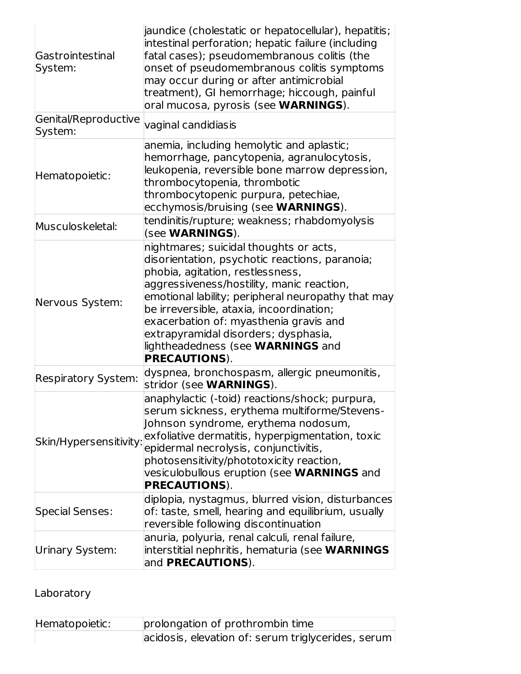| Gastrointestinal<br>System:     | jaundice (cholestatic or hepatocellular), hepatitis;<br>intestinal perforation; hepatic failure (including<br>fatal cases); pseudomembranous colitis (the<br>onset of pseudomembranous colitis symptoms<br>may occur during or after antimicrobial<br>treatment), GI hemorrhage; hiccough, painful<br>oral mucosa, pyrosis (see <b>WARNINGS</b> ).                                                                                |
|---------------------------------|-----------------------------------------------------------------------------------------------------------------------------------------------------------------------------------------------------------------------------------------------------------------------------------------------------------------------------------------------------------------------------------------------------------------------------------|
| Genital/Reproductive<br>System: | vaginal candidiasis                                                                                                                                                                                                                                                                                                                                                                                                               |
| Hematopoietic:                  | anemia, including hemolytic and aplastic;<br>hemorrhage, pancytopenia, agranulocytosis,<br>leukopenia, reversible bone marrow depression,<br>thrombocytopenia, thrombotic<br>thrombocytopenic purpura, petechiae,<br>ecchymosis/bruising (see <b>WARNINGS</b> ).                                                                                                                                                                  |
| Musculoskeletal:                | tendinitis/rupture; weakness; rhabdomyolysis<br>(see <b>WARNINGS</b> ).                                                                                                                                                                                                                                                                                                                                                           |
| Nervous System:                 | nightmares; suicidal thoughts or acts,<br>disorientation, psychotic reactions, paranoia;<br>phobia, agitation, restlessness,<br>aggressiveness/hostility, manic reaction,<br>emotional lability; peripheral neuropathy that may<br>be irreversible, ataxia, incoordination;<br>exacerbation of: myasthenia gravis and<br>extrapyramidal disorders; dysphasia,<br>lightheadedness (see <b>WARNINGS</b> and<br><b>PRECAUTIONS).</b> |
| <b>Respiratory System:</b>      | dyspnea, bronchospasm, allergic pneumonitis,<br>stridor (see WARNINGS).                                                                                                                                                                                                                                                                                                                                                           |
| Skin/Hypersensitivity           | anaphylactic (-toid) reactions/shock; purpura,<br>serum sickness, erythema multiforme/Stevens-<br>Johnson syndrome, erythema nodosum,<br>exfoliative dermatitis, hyperpigmentation, toxic<br>epidermal necrolysis, conjunctivitis,<br>photosensitivity/phototoxicity reaction,<br>vesiculobullous eruption (see WARNINGS and<br><b>PRECAUTIONS).</b>                                                                              |
| Special Senses:                 | diplopia, nystagmus, blurred vision, disturbances<br>of: taste, smell, hearing and equilibrium, usually<br>reversible following discontinuation                                                                                                                                                                                                                                                                                   |
| Urinary System:                 | anuria, polyuria, renal calculi, renal failure,<br>interstitial nephritis, hematuria (see <b>WARNINGS</b><br>and <b>PRECAUTIONS</b> ).                                                                                                                                                                                                                                                                                            |

Laboratory

| Hematopoietic: | prolongation of prothrombin time                   |
|----------------|----------------------------------------------------|
|                | acidosis, elevation of: serum triglycerides, serum |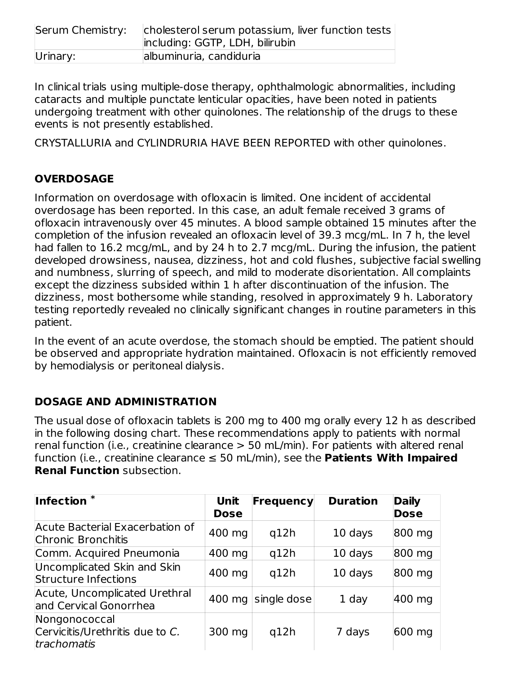| Serum Chemistry: | cholesterol serum potassium, liver function tests<br>including: GGTP, LDH, bilirubin |
|------------------|--------------------------------------------------------------------------------------|
| Urinary:         | albuminuria, candiduria                                                              |

In clinical trials using multiple-dose therapy, ophthalmologic abnormalities, including cataracts and multiple punctate lenticular opacities, have been noted in patients undergoing treatment with other quinolones. The relationship of the drugs to these events is not presently established.

CRYSTALLURIA and CYLINDRURIA HAVE BEEN REPORTED with other quinolones.

# **OVERDOSAGE**

Information on overdosage with ofloxacin is limited. One incident of accidental overdosage has been reported. In this case, an adult female received 3 grams of ofloxacin intravenously over 45 minutes. A blood sample obtained 15 minutes after the completion of the infusion revealed an ofloxacin level of 39.3 mcg/mL. In 7 h, the level had fallen to 16.2 mcg/mL, and by 24 h to 2.7 mcg/mL. During the infusion, the patient developed drowsiness, nausea, dizziness, hot and cold flushes, subjective facial swelling and numbness, slurring of speech, and mild to moderate disorientation. All complaints except the dizziness subsided within 1 h after discontinuation of the infusion. The dizziness, most bothersome while standing, resolved in approximately 9 h. Laboratory testing reportedly revealed no clinically significant changes in routine parameters in this patient.

In the event of an acute overdose, the stomach should be emptied. The patient should be observed and appropriate hydration maintained. Ofloxacin is not efficiently removed by hemodialysis or peritoneal dialysis.

# **DOSAGE AND ADMINISTRATION**

The usual dose of ofloxacin tablets is 200 mg to 400 mg orally every 12 h as described in the following dosing chart. These recommendations apply to patients with normal renal function (i.e., creatinine clearance > 50 mL/min). For patients with altered renal function (i.e., creatinine clearance ≤ 50 mL/min), see the **Patients With Impaired Renal Function** subsection.

| Infection <sup>*</sup>                                          | Unit<br><b>Dose</b> | Frequency   | <b>Duration</b> | <b>Daily</b><br><b>Dose</b> |
|-----------------------------------------------------------------|---------------------|-------------|-----------------|-----------------------------|
| Acute Bacterial Exacerbation of<br>Chronic Bronchitis           | 400 mg              | q12h        | 10 days         | 800 mg                      |
| Comm. Acquired Pneumonia                                        | 400 mg              | q12h        | 10 days         | 800 mg                      |
| Uncomplicated Skin and Skin<br>Structure Infections             | 400 mg              | q12h        | 10 days         | 800 mg                      |
| Acute, Uncomplicated Urethral<br>and Cervical Gonorrhea         | 400mg               | single dose | 1 day           | 400 mg                      |
| Nongonococcal<br>Cervicitis/Urethritis due to C.<br>trachomatis | 300 mg              | q12h        | 7 days          | 600 mg                      |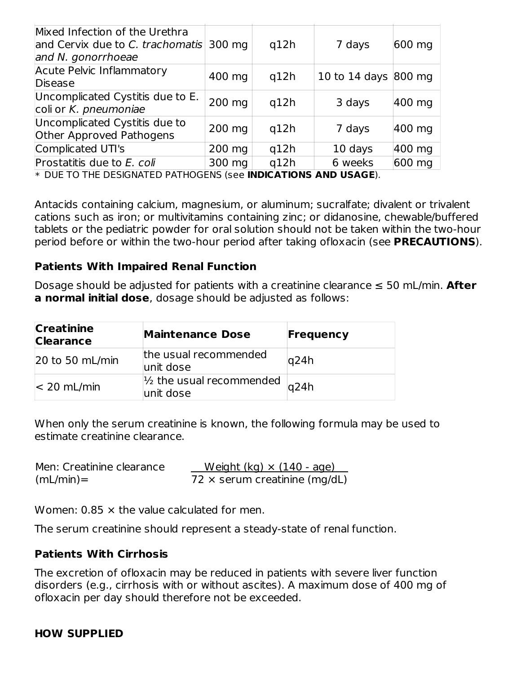| 300 mg | q12h                             | 7 days               | 600 mg |
|--------|----------------------------------|----------------------|--------|
| 400 mg | q12h                             | 10 to 14 days 800 mg |        |
| 200 mg | q12h                             | 3 days               | 400 mg |
| 200 mg | q12h                             | 7 days               | 400 mg |
| 200 mg | q12h                             | 10 days              | 400 mg |
| 300 mg | q12h                             | 6 weeks              | 600 mg |
|        | and Cervix due to C. trachomatis |                      |        |

\* DUE TO THE DESIGNATED PATHOGENS (see **INDICATIONS AND USAGE**).

Antacids containing calcium, magnesium, or aluminum; sucralfate; divalent or trivalent cations such as iron; or multivitamins containing zinc; or didanosine, chewable/buffered tablets or the pediatric powder for oral solution should not be taken within the two-hour period before or within the two-hour period after taking ofloxacin (see **PRECAUTIONS**).

#### **Patients With Impaired Renal Function**

Dosage should be adjusted for patients with a creatinine clearance ≤ 50 mL/min. **After a normal initial dose**, dosage should be adjusted as follows:

| <b>Creatinine</b><br><b>Clearance</b> | <b>Maintenance Dose</b>                                           | Frequency |  |
|---------------------------------------|-------------------------------------------------------------------|-----------|--|
| $ 20 \text{ to } 50 \text{ mL/min} $  | the usual recommended<br>unit dose                                | q24h      |  |
| $\approx$ 20 mL/min                   | $\frac{1}{12}$ the usual recommended $\frac{1}{924}$<br>unit dose |           |  |

When only the serum creatinine is known, the following formula may be used to estimate creatinine clearance.

| Men: Creatinine clearance | Weight (kg) $\times$ (140 - age)     |
|---------------------------|--------------------------------------|
| $(mL/min) =$              | $72 \times$ serum creatinine (mg/dL) |

Women:  $0.85 \times$  the value calculated for men.

The serum creatinine should represent a steady-state of renal function.

#### **Patients With Cirrhosis**

The excretion of ofloxacin may be reduced in patients with severe liver function disorders (e.g., cirrhosis with or without ascites). A maximum dose of 400 mg of ofloxacin per day should therefore not be exceeded.

#### **HOW SUPPLIED**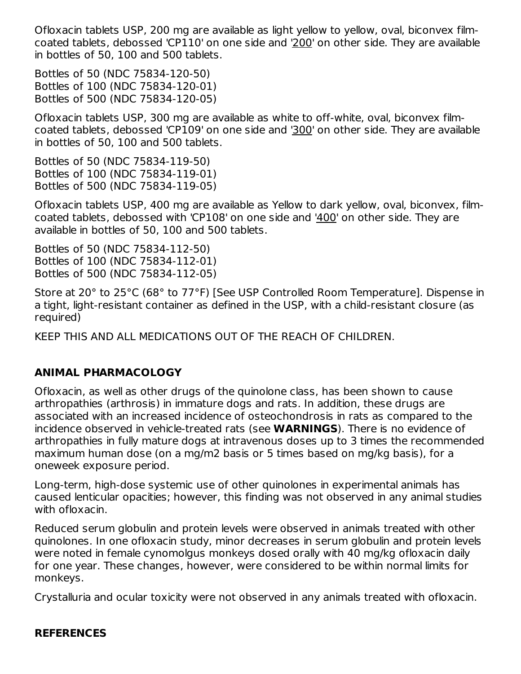Ofloxacin tablets USP, 200 mg are available as light yellow to yellow, oval, biconvex filmcoated tablets, debossed 'CP110' on one side and '200' on other side. They are available in bottles of 50, 100 and 500 tablets.

Bottles of 50 (NDC 75834-120-50) Bottles of 100 (NDC 75834-120-01) Bottles of 500 (NDC 75834-120-05)

Ofloxacin tablets USP, 300 mg are available as white to off-white, oval, biconvex filmcoated tablets, debossed 'CP109' on one side and '300' on other side. They are available in bottles of 50, 100 and 500 tablets.

Bottles of 50 (NDC 75834-119-50) Bottles of 100 (NDC 75834-119-01) Bottles of 500 (NDC 75834-119-05)

Ofloxacin tablets USP, 400 mg are available as Yellow to dark yellow, oval, biconvex, filmcoated tablets, debossed with 'CP108' on one side and '400' on other side. They are available in bottles of 50, 100 and 500 tablets.

Bottles of 50 (NDC 75834-112-50) Bottles of 100 (NDC 75834-112-01) Bottles of 500 (NDC 75834-112-05)

Store at 20° to 25°C (68° to 77°F) [See USP Controlled Room Temperature]. Dispense in a tight, light-resistant container as defined in the USP, with a child-resistant closure (as required)

KEEP THIS AND ALL MEDICATIONS OUT OF THE REACH OF CHILDREN.

## **ANIMAL PHARMACOLOGY**

Ofloxacin, as well as other drugs of the quinolone class, has been shown to cause arthropathies (arthrosis) in immature dogs and rats. In addition, these drugs are associated with an increased incidence of osteochondrosis in rats as compared to the incidence observed in vehicle-treated rats (see **WARNINGS**). There is no evidence of arthropathies in fully mature dogs at intravenous doses up to 3 times the recommended maximum human dose (on a mg/m2 basis or 5 times based on mg/kg basis), for a oneweek exposure period.

Long-term, high-dose systemic use of other quinolones in experimental animals has caused lenticular opacities; however, this finding was not observed in any animal studies with ofloxacin.

Reduced serum globulin and protein levels were observed in animals treated with other quinolones. In one ofloxacin study, minor decreases in serum globulin and protein levels were noted in female cynomolgus monkeys dosed orally with 40 mg/kg ofloxacin daily for one year. These changes, however, were considered to be within normal limits for monkeys.

Crystalluria and ocular toxicity were not observed in any animals treated with ofloxacin.

## **REFERENCES**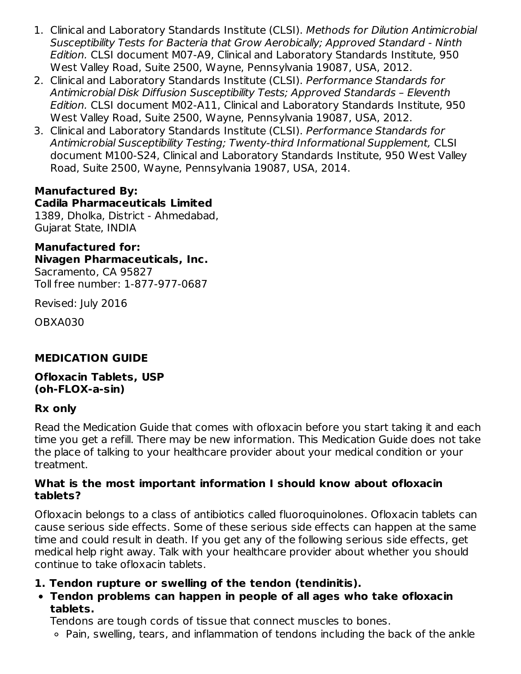- 1. Clinical and Laboratory Standards Institute (CLSI). Methods for Dilution Antimicrobial Susceptibility Tests for Bacteria that Grow Aerobically; Approved Standard - Ninth Edition. CLSI document M07-A9, Clinical and Laboratory Standards Institute, 950 West Valley Road, Suite 2500, Wayne, Pennsylvania 19087, USA, 2012.
- 2. Clinical and Laboratory Standards Institute (CLSI). Performance Standards for Antimicrobial Disk Diffusion Susceptibility Tests; Approved Standards – Eleventh Edition. CLSI document M02-A11, Clinical and Laboratory Standards Institute, 950 West Valley Road, Suite 2500, Wayne, Pennsylvania 19087, USA, 2012.
- 3. Clinical and Laboratory Standards Institute (CLSI). Performance Standards for Antimicrobial Susceptibility Testing; Twenty-third Informational Supplement, CLSI document M100-S24, Clinical and Laboratory Standards Institute, 950 West Valley Road, Suite 2500, Wayne, Pennsylvania 19087, USA, 2014.

# **Manufactured By: Cadila Pharmaceuticals Limited**

1389, Dholka, District - Ahmedabad, Gujarat State, INDIA

#### **Manufactured for: Nivagen Pharmaceuticals, Inc.**

Sacramento, CA 95827 Toll free number: 1-877-977-0687

Revised: July 2016

OBXA030

# **MEDICATION GUIDE**

## **Ofloxacin Tablets, USP (oh-FLOX-a-sin)**

# **Rx only**

Read the Medication Guide that comes with ofloxacin before you start taking it and each time you get a refill. There may be new information. This Medication Guide does not take the place of talking to your healthcare provider about your medical condition or your treatment.

### **What is the most important information I should know about ofloxacin tablets?**

Ofloxacin belongs to a class of antibiotics called fluoroquinolones. Ofloxacin tablets can cause serious side effects. Some of these serious side effects can happen at the same time and could result in death. If you get any of the following serious side effects, get medical help right away. Talk with your healthcare provider about whether you should continue to take ofloxacin tablets.

# **1. Tendon rupture or swelling of the tendon (tendinitis).**

**Tendon problems can happen in people of all ages who take ofloxacin tablets.**

Tendons are tough cords of tissue that connect muscles to bones.

Pain, swelling, tears, and inflammation of tendons including the back of the ankle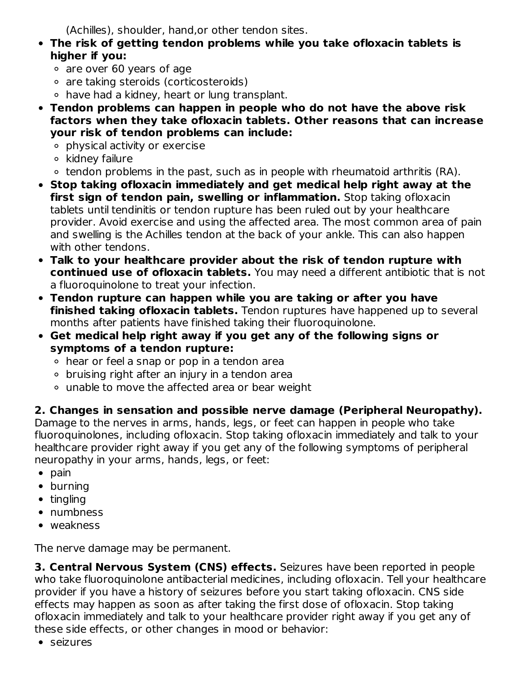(Achilles), shoulder, hand,or other tendon sites.

- **The risk of getting tendon problems while you take ofloxacin tablets is higher if you:**
	- are over 60 years of age
	- are taking steroids (corticosteroids)
	- o have had a kidney, heart or lung transplant.
- **Tendon problems can happen in people who do not have the above risk factors when they take ofloxacin tablets. Other reasons that can increase your risk of tendon problems can include:**
	- physical activity or exercise
	- o kidney failure
	- $\circ$  tendon problems in the past, such as in people with rheumatoid arthritis (RA).
- **Stop taking ofloxacin immediately and get medical help right away at the first sign of tendon pain, swelling or inflammation.** Stop taking ofloxacin tablets until tendinitis or tendon rupture has been ruled out by your healthcare provider. Avoid exercise and using the affected area. The most common area of pain and swelling is the Achilles tendon at the back of your ankle. This can also happen with other tendons.
- **Talk to your healthcare provider about the risk of tendon rupture with continued use of ofloxacin tablets.** You may need a different antibiotic that is not a fluoroquinolone to treat your infection.
- **Tendon rupture can happen while you are taking or after you have finished taking ofloxacin tablets.** Tendon ruptures have happened up to several months after patients have finished taking their fluoroquinolone.
- **Get medical help right away if you get any of the following signs or symptoms of a tendon rupture:**
	- hear or feel a snap or pop in a tendon area
	- bruising right after an injury in a tendon area
	- unable to move the affected area or bear weight

# **2. Changes in sensation and possible nerve damage (Peripheral Neuropathy).**

Damage to the nerves in arms, hands, legs, or feet can happen in people who take fluoroquinolones, including ofloxacin. Stop taking ofloxacin immediately and talk to your healthcare provider right away if you get any of the following symptoms of peripheral neuropathy in your arms, hands, legs, or feet:

- $\bullet$  pain
- burning
- $\bullet$  tingling
- numbness
- weakness

The nerve damage may be permanent.

**3. Central Nervous System (CNS) effects.** Seizures have been reported in people who take fluoroquinolone antibacterial medicines, including ofloxacin. Tell your healthcare provider if you have a history of seizures before you start taking ofloxacin. CNS side effects may happen as soon as after taking the first dose of ofloxacin. Stop taking ofloxacin immediately and talk to your healthcare provider right away if you get any of these side effects, or other changes in mood or behavior:

seizures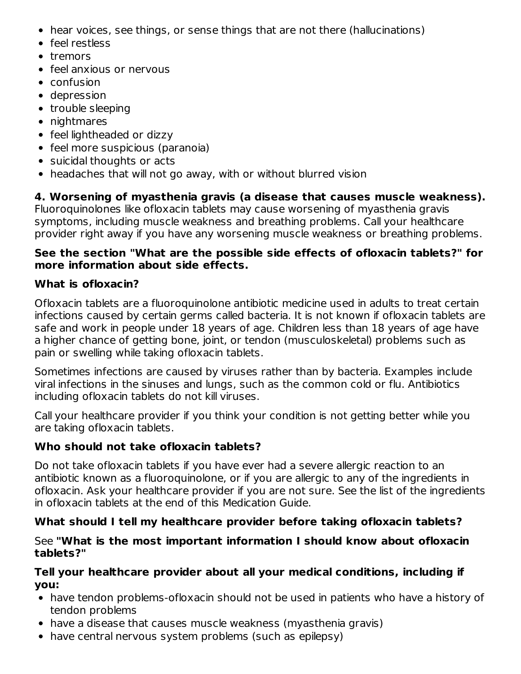- hear voices, see things, or sense things that are not there (hallucinations)
- feel restless
- tremors
- feel anxious or nervous
- confusion
- depression
- trouble sleeping
- nightmares
- feel lightheaded or dizzy
- feel more suspicious (paranoia)
- suicidal thoughts or acts
- headaches that will not go away, with or without blurred vision

**4. Worsening of myasthenia gravis (a disease that causes muscle weakness).** Fluoroquinolones like ofloxacin tablets may cause worsening of myasthenia gravis symptoms, including muscle weakness and breathing problems. Call your healthcare provider right away if you have any worsening muscle weakness or breathing problems.

## **See the section "What are the possible side effects of ofloxacin tablets?" for more information about side effects.**

# **What is ofloxacin?**

Ofloxacin tablets are a fluoroquinolone antibiotic medicine used in adults to treat certain infections caused by certain germs called bacteria. It is not known if ofloxacin tablets are safe and work in people under 18 years of age. Children less than 18 years of age have a higher chance of getting bone, joint, or tendon (musculoskeletal) problems such as pain or swelling while taking ofloxacin tablets.

Sometimes infections are caused by viruses rather than by bacteria. Examples include viral infections in the sinuses and lungs, such as the common cold or flu. Antibiotics including ofloxacin tablets do not kill viruses.

Call your healthcare provider if you think your condition is not getting better while you are taking ofloxacin tablets.

# **Who should not take ofloxacin tablets?**

Do not take ofloxacin tablets if you have ever had a severe allergic reaction to an antibiotic known as a fluoroquinolone, or if you are allergic to any of the ingredients in ofloxacin. Ask your healthcare provider if you are not sure. See the list of the ingredients in ofloxacin tablets at the end of this Medication Guide.

# **What should I tell my healthcare provider before taking ofloxacin tablets?**

## See **"What is the most important information I should know about ofloxacin tablets?"**

## **Tell your healthcare provider about all your medical conditions, including if you:**

- have tendon problems-ofloxacin should not be used in patients who have a history of tendon problems
- have a disease that causes muscle weakness (myasthenia gravis)
- have central nervous system problems (such as epilepsy)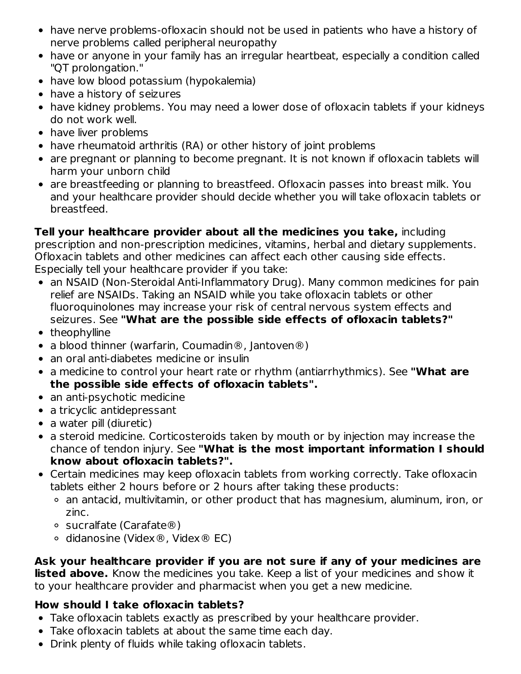- have nerve problems-ofloxacin should not be used in patients who have a history of nerve problems called peripheral neuropathy
- have or anyone in your family has an irregular heartbeat, especially a condition called "QT prolongation."
- have low blood potassium (hypokalemia)
- have a history of seizures
- have kidney problems. You may need a lower dose of ofloxacin tablets if your kidneys do not work well.
- have liver problems
- have rheumatoid arthritis (RA) or other history of joint problems
- are pregnant or planning to become pregnant. It is not known if ofloxacin tablets will harm your unborn child
- are breastfeeding or planning to breastfeed. Ofloxacin passes into breast milk. You and your healthcare provider should decide whether you will take ofloxacin tablets or breastfeed.

# **Tell your healthcare provider about all the medicines you take,** including

prescription and non-prescription medicines, vitamins, herbal and dietary supplements. Ofloxacin tablets and other medicines can affect each other causing side effects. Especially tell your healthcare provider if you take:

- an NSAID (Non-Steroidal Anti-Inflammatory Drug). Many common medicines for pain relief are NSAIDs. Taking an NSAID while you take ofloxacin tablets or other fluoroquinolones may increase your risk of central nervous system effects and seizures. See **"What are the possible side effects of ofloxacin tablets?"**
- theophylline
- a blood thinner (warfarin, Coumadin®, Jantoven®)
- an oral anti-diabetes medicine or insulin
- a medicine to control your heart rate or rhythm (antiarrhythmics). See **"What are the possible side effects of ofloxacin tablets".**
- an anti-psychotic medicine
- a tricyclic antidepressant
- a water pill (diuretic)
- a steroid medicine. Corticosteroids taken by mouth or by injection may increase the chance of tendon injury. See **"What is the most important information I should know about ofloxacin tablets?".**
- Certain medicines may keep ofloxacin tablets from working correctly. Take ofloxacin tablets either 2 hours before or 2 hours after taking these products:
	- an antacid, multivitamin, or other product that has magnesium, aluminum, iron, or zinc.
	- sucralfate (Carafate®)
	- $\circ$  didanosine (Videx®, Videx® EC)

# **Ask your healthcare provider if you are not sure if any of your medicines are**

**listed above.** Know the medicines you take. Keep a list of your medicines and show it to your healthcare provider and pharmacist when you get a new medicine.

# **How should I take ofloxacin tablets?**

- Take ofloxacin tablets exactly as prescribed by your healthcare provider.
- Take ofloxacin tablets at about the same time each day.
- Drink plenty of fluids while taking ofloxacin tablets.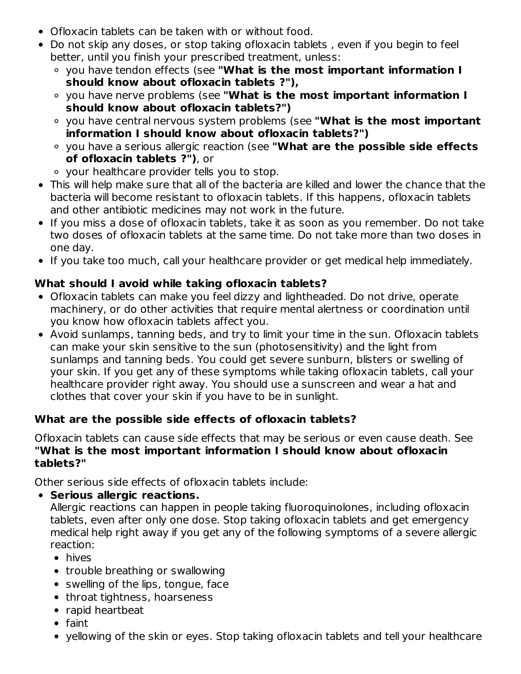- Ofloxacin tablets can be taken with or without food.
- Do not skip any doses, or stop taking ofloxacin tablets , even if you begin to feel better, until you finish your prescribed treatment, unless:
	- you have tendon effects (see **"What is the most important information I should know about ofloxacin tablets ?"),**
	- you have nerve problems (see **"What is the most important information I should know about ofloxacin tablets?")**
	- you have central nervous system problems (see **"What is the most important information I should know about ofloxacin tablets?")**
	- you have a serious allergic reaction (see **"What are the possible side effects of ofloxacin tablets ?")**, or
	- your healthcare provider tells you to stop.
- This will help make sure that all of the bacteria are killed and lower the chance that the bacteria will become resistant to ofloxacin tablets. If this happens, ofloxacin tablets and other antibiotic medicines may not work in the future.
- If you miss a dose of ofloxacin tablets, take it as soon as you remember. Do not take two doses of ofloxacin tablets at the same time. Do not take more than two doses in one day.
- If you take too much, call your healthcare provider or get medical help immediately.

# **What should I avoid while taking ofloxacin tablets?**

- Ofloxacin tablets can make you feel dizzy and lightheaded. Do not drive, operate machinery, or do other activities that require mental alertness or coordination until you know how ofloxacin tablets affect you.
- Avoid sunlamps, tanning beds, and try to limit your time in the sun. Ofloxacin tablets can make your skin sensitive to the sun (photosensitivity) and the light from sunlamps and tanning beds. You could get severe sunburn, blisters or swelling of your skin. If you get any of these symptoms while taking ofloxacin tablets, call your healthcare provider right away. You should use a sunscreen and wear a hat and clothes that cover your skin if you have to be in sunlight.

# **What are the possible side effects of ofloxacin tablets?**

Ofloxacin tablets can cause side effects that may be serious or even cause death. See **"What is the most important information I should know about ofloxacin tablets?"**

Other serious side effects of ofloxacin tablets include:

**Serious allergic reactions.**

Allergic reactions can happen in people taking fluoroquinolones, including ofloxacin tablets, even after only one dose. Stop taking ofloxacin tablets and get emergency medical help right away if you get any of the following symptoms of a severe allergic reaction:

- hives
- trouble breathing or swallowing
- swelling of the lips, tongue, face
- throat tightness, hoarseness
- rapid heartbeat
- $\bullet$  faint
- yellowing of the skin or eyes. Stop taking ofloxacin tablets and tell your healthcare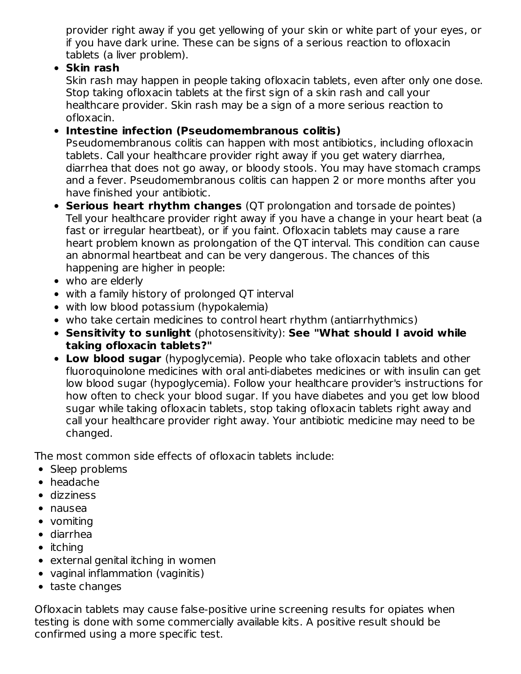provider right away if you get yellowing of your skin or white part of your eyes, or if you have dark urine. These can be signs of a serious reaction to ofloxacin tablets (a liver problem).

**Skin rash**

Skin rash may happen in people taking ofloxacin tablets, even after only one dose. Stop taking ofloxacin tablets at the first sign of a skin rash and call your healthcare provider. Skin rash may be a sign of a more serious reaction to ofloxacin.

# **Intestine infection (Pseudomembranous colitis)**

Pseudomembranous colitis can happen with most antibiotics, including ofloxacin tablets. Call your healthcare provider right away if you get watery diarrhea, diarrhea that does not go away, or bloody stools. You may have stomach cramps and a fever. Pseudomembranous colitis can happen 2 or more months after you have finished your antibiotic.

- **Serious heart rhythm changes** (QT prolongation and torsade de pointes) Tell your healthcare provider right away if you have a change in your heart beat (a fast or irregular heartbeat), or if you faint. Ofloxacin tablets may cause a rare heart problem known as prolongation of the QT interval. This condition can cause an abnormal heartbeat and can be very dangerous. The chances of this happening are higher in people:
- who are elderly
- with a family history of prolonged QT interval
- with low blood potassium (hypokalemia)
- who take certain medicines to control heart rhythm (antiarrhythmics)
- **Sensitivity to sunlight** (photosensitivity): **See "What should I avoid while taking ofloxacin tablets?"**
- **Low blood sugar** (hypoglycemia). People who take ofloxacin tablets and other fluoroquinolone medicines with oral anti-diabetes medicines or with insulin can get low blood sugar (hypoglycemia). Follow your healthcare provider's instructions for how often to check your blood sugar. If you have diabetes and you get low blood sugar while taking ofloxacin tablets, stop taking ofloxacin tablets right away and call your healthcare provider right away. Your antibiotic medicine may need to be changed.

The most common side effects of ofloxacin tablets include:

- Sleep problems
- headache
- dizziness
- nausea
- vomiting
- diarrhea
- $\bullet$  itching
- $\bullet$  external genital itching in women
- vaginal inflammation (vaginitis)
- taste changes

Ofloxacin tablets may cause false-positive urine screening results for opiates when testing is done with some commercially available kits. A positive result should be confirmed using a more specific test.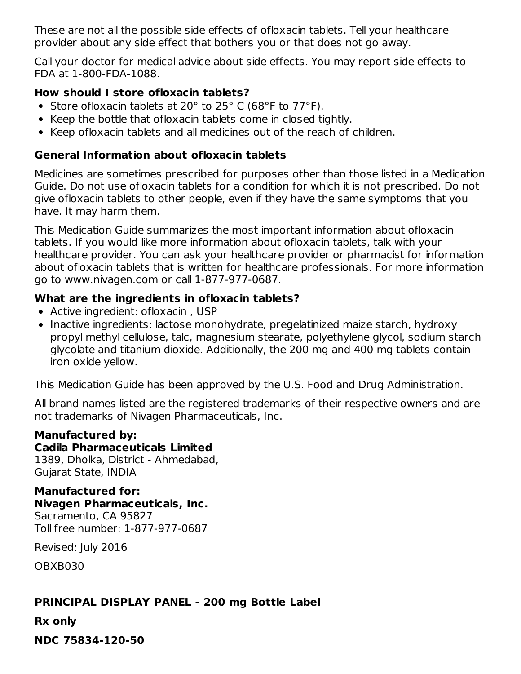These are not all the possible side effects of ofloxacin tablets. Tell your healthcare provider about any side effect that bothers you or that does not go away.

Call your doctor for medical advice about side effects. You may report side effects to FDA at 1-800-FDA-1088.

#### **How should I store ofloxacin tablets?**

- Store ofloxacin tablets at 20° to 25° C (68°F to 77°F).
- Keep the bottle that ofloxacin tablets come in closed tightly.
- Keep ofloxacin tablets and all medicines out of the reach of children.

#### **General Information about ofloxacin tablets**

Medicines are sometimes prescribed for purposes other than those listed in a Medication Guide. Do not use ofloxacin tablets for a condition for which it is not prescribed. Do not give ofloxacin tablets to other people, even if they have the same symptoms that you have. It may harm them.

This Medication Guide summarizes the most important information about ofloxacin tablets. If you would like more information about ofloxacin tablets, talk with your healthcare provider. You can ask your healthcare provider or pharmacist for information about ofloxacin tablets that is written for healthcare professionals. For more information go to www.nivagen.com or call 1-877-977-0687.

### **What are the ingredients in ofloxacin tablets?**

- Active ingredient: of loxacin, USP
- Inactive ingredients: lactose monohydrate, pregelatinized maize starch, hydroxy propyl methyl cellulose, talc, magnesium stearate, polyethylene glycol, sodium starch glycolate and titanium dioxide. Additionally, the 200 mg and 400 mg tablets contain iron oxide yellow.

This Medication Guide has been approved by the U.S. Food and Drug Administration.

All brand names listed are the registered trademarks of their respective owners and are not trademarks of Nivagen Pharmaceuticals, Inc.

#### **Manufactured by:**

**Cadila Pharmaceuticals Limited** 1389, Dholka, District - Ahmedabad, Gujarat State, INDIA

#### **Manufactured for: Nivagen Pharmaceuticals, Inc.**

Sacramento, CA 95827 Toll free number: 1-877-977-0687

Revised: July 2016

OBXB030

## **PRINCIPAL DISPLAY PANEL - 200 mg Bottle Label**

**Rx only**

**NDC 75834-120-50**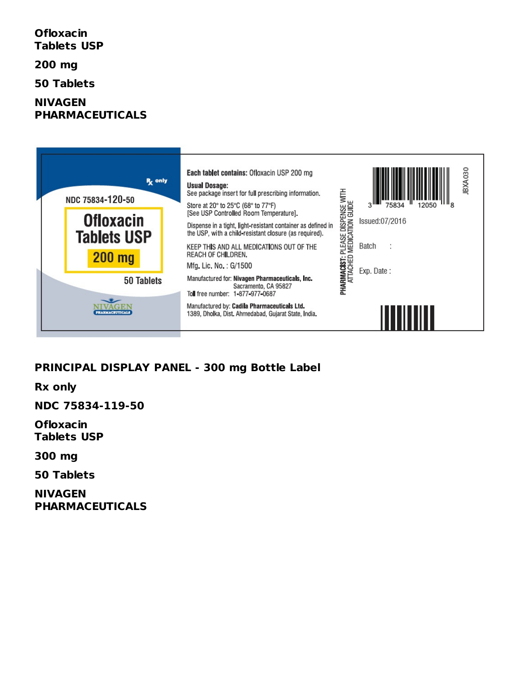#### **Ofloxacin Tablets USP**

**200 mg**

**50 Tablets**

### **NIVAGEN PHARMACEUTICALS**



**PRINCIPAL DISPLAY PANEL - 300 mg Bottle Label**

**Rx only**

**NDC 75834-119-50**

**Ofloxacin Tablets USP**

**300 mg**

**50 Tablets**

**NIVAGEN PHARMACEUTICALS**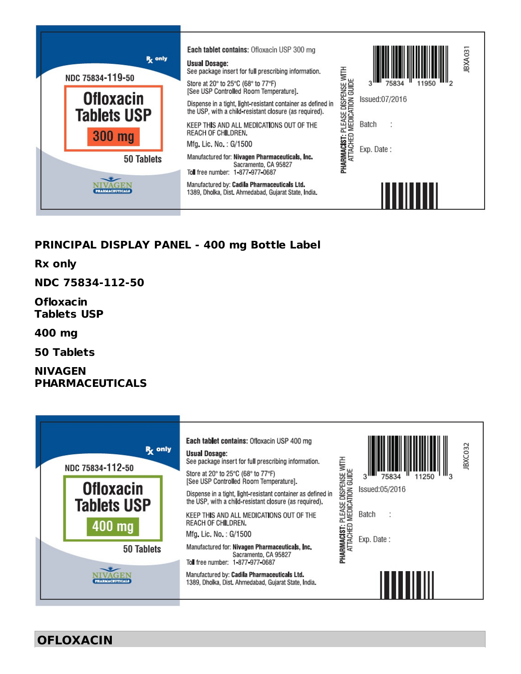

#### **PRINCIPAL DISPLAY PANEL - 400 mg Bottle Label**

**Rx only**

**NDC 75834-112-50**

**Ofloxacin Tablets USP**

**400 mg**

**50 Tablets**

#### **NIVAGEN PHARMACEUTICALS**



**OFLOXACIN**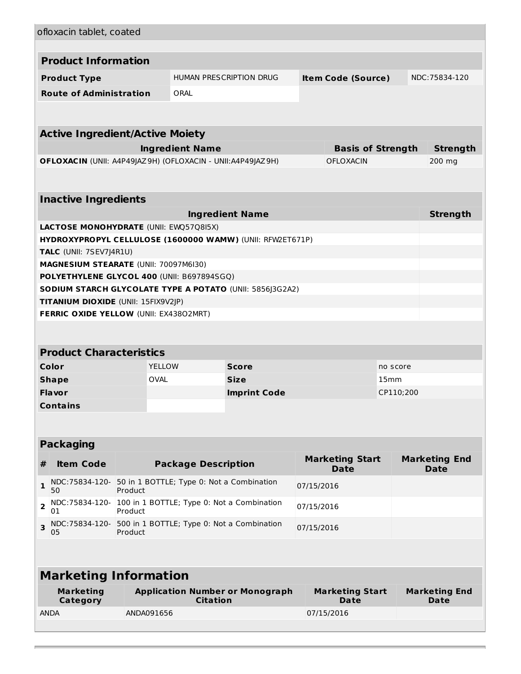| ofloxacin tablet, coated                                                                               |             |                                            |                                                                         |                                       |                                       |                  |                                     |                              |  |
|--------------------------------------------------------------------------------------------------------|-------------|--------------------------------------------|-------------------------------------------------------------------------|---------------------------------------|---------------------------------------|------------------|-------------------------------------|------------------------------|--|
| <b>Product Information</b>                                                                             |             |                                            |                                                                         |                                       |                                       |                  |                                     |                              |  |
| <b>Product Type</b>                                                                                    |             |                                            | HUMAN PRESCRIPTION DRUG<br><b>Item Code (Source)</b>                    |                                       |                                       | NDC: 75834-120   |                                     |                              |  |
| <b>Route of Administration</b>                                                                         |             | ORAL                                       |                                                                         |                                       |                                       |                  |                                     |                              |  |
|                                                                                                        |             |                                            |                                                                         |                                       |                                       |                  |                                     |                              |  |
|                                                                                                        |             |                                            |                                                                         |                                       |                                       |                  |                                     |                              |  |
| <b>Active Ingredient/Active Moiety</b>                                                                 |             |                                            |                                                                         |                                       |                                       |                  |                                     |                              |  |
|                                                                                                        |             | <b>Ingredient Name</b>                     |                                                                         |                                       | <b>Basis of Strength</b>              |                  |                                     | <b>Strength</b>              |  |
| OFLOXACIN (UNII: A4P49JAZ9H) (OFLOXACIN - UNII:A4P49JAZ9H)                                             |             |                                            |                                                                         |                                       | <b>OFLOXACIN</b>                      |                  |                                     | 200 mg                       |  |
|                                                                                                        |             |                                            |                                                                         |                                       |                                       |                  |                                     |                              |  |
| <b>Inactive Ingredients</b>                                                                            |             |                                            |                                                                         |                                       |                                       |                  |                                     |                              |  |
|                                                                                                        |             |                                            | <b>Ingredient Name</b>                                                  |                                       |                                       |                  |                                     | <b>Strength</b>              |  |
| <b>LACTOSE MONOHYDRATE (UNII: EWQ57Q8I5X)</b>                                                          |             |                                            |                                                                         |                                       |                                       |                  |                                     |                              |  |
| HYDROXYPROPYL CELLULOSE (1600000 WAMW) (UNII: RFW2ET671P)                                              |             |                                            |                                                                         |                                       |                                       |                  |                                     |                              |  |
| TALC (UNII: 7SEV7J4R1U)                                                                                |             |                                            |                                                                         |                                       |                                       |                  |                                     |                              |  |
| MAGNESIUM STEARATE (UNII: 70097M6I30)                                                                  |             |                                            |                                                                         |                                       |                                       |                  |                                     |                              |  |
| POLYETHYLENE GLYCOL 400 (UNII: B697894SGQ)<br>SODIUM STARCH GLYCOLATE TYPE A POTATO (UNII: 5856J3G2A2) |             |                                            |                                                                         |                                       |                                       |                  |                                     |                              |  |
| TITANIUM DIOXIDE (UNII: 15FIX9V2JP)                                                                    |             |                                            |                                                                         |                                       |                                       |                  |                                     |                              |  |
| FERRIC OXIDE YELLOW (UNII: EX43802MRT)                                                                 |             |                                            |                                                                         |                                       |                                       |                  |                                     |                              |  |
|                                                                                                        |             |                                            |                                                                         |                                       |                                       |                  |                                     |                              |  |
|                                                                                                        |             |                                            |                                                                         |                                       |                                       |                  |                                     |                              |  |
| <b>Product Characteristics</b>                                                                         |             |                                            |                                                                         |                                       |                                       |                  |                                     |                              |  |
| Color                                                                                                  | YELLOW      |                                            | <b>Score</b>                                                            |                                       |                                       | no score         |                                     |                              |  |
| <b>Shape</b>                                                                                           | <b>OVAL</b> |                                            | <b>Size</b>                                                             |                                       |                                       | 15 <sub>mm</sub> |                                     |                              |  |
| Flavor                                                                                                 |             |                                            | <b>Imprint Code</b>                                                     |                                       |                                       | CP110;200        |                                     |                              |  |
| <b>Contains</b>                                                                                        |             |                                            |                                                                         |                                       |                                       |                  |                                     |                              |  |
|                                                                                                        |             |                                            |                                                                         |                                       |                                       |                  |                                     |                              |  |
| <b>Packaging</b>                                                                                       |             |                                            |                                                                         |                                       |                                       |                  |                                     |                              |  |
| #<br><b>Item Code</b>                                                                                  |             | <b>Package Description</b>                 |                                                                         | <b>Marketing Start</b><br><b>Date</b> |                                       |                  | <b>Marketing End</b><br><b>Date</b> |                              |  |
| NDC:75834-120-<br>1<br>50                                                                              | Product     | 50 in 1 BOTTLE; Type 0: Not a Combination  |                                                                         | 07/15/2016                            |                                       |                  |                                     |                              |  |
| NDC:75834-120-<br>2<br>01                                                                              | Product     | 100 in 1 BOTTLE; Type 0: Not a Combination |                                                                         | 07/15/2016                            |                                       |                  |                                     |                              |  |
| 3<br>05                                                                                                | Product     |                                            | NDC:75834-120- 500 in 1 BOTTLE; Type 0: Not a Combination<br>07/15/2016 |                                       |                                       |                  |                                     |                              |  |
|                                                                                                        |             |                                            |                                                                         |                                       |                                       |                  |                                     |                              |  |
| <b>Marketing Information</b>                                                                           |             |                                            |                                                                         |                                       |                                       |                  |                                     |                              |  |
| <b>Marketing</b><br><b>Category</b>                                                                    |             | <b>Citation</b>                            | <b>Application Number or Monograph</b>                                  |                                       | <b>Marketing Start</b><br><b>Date</b> |                  |                                     | <b>Marketing End</b><br>Date |  |
| <b>ANDA</b>                                                                                            | ANDA091656  |                                            |                                                                         |                                       | 07/15/2016                            |                  |                                     |                              |  |
|                                                                                                        |             |                                            |                                                                         |                                       |                                       |                  |                                     |                              |  |
|                                                                                                        |             |                                            |                                                                         |                                       |                                       |                  |                                     |                              |  |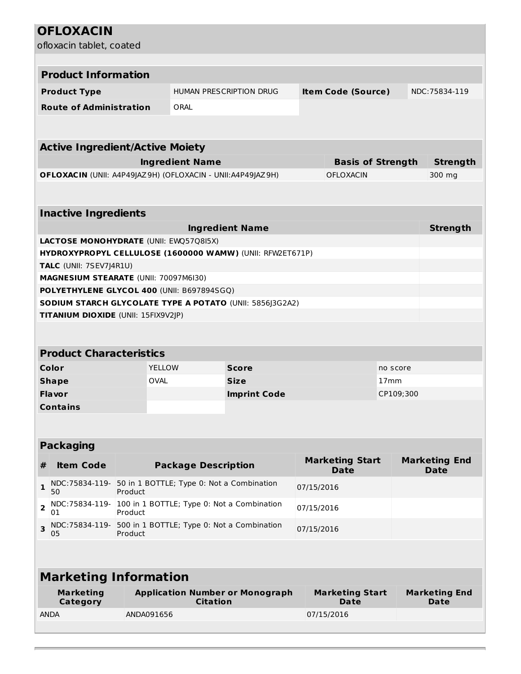| <b>OFLOXACIN</b><br>ofloxacin tablet, coated                                                        |                              |                                                           |                         |                              |                                       |        |                                     |  |  |  |  |  |
|-----------------------------------------------------------------------------------------------------|------------------------------|-----------------------------------------------------------|-------------------------|------------------------------|---------------------------------------|--------|-------------------------------------|--|--|--|--|--|
|                                                                                                     |                              |                                                           |                         |                              |                                       |        |                                     |  |  |  |  |  |
| <b>Product Information</b>                                                                          |                              |                                                           |                         |                              |                                       |        |                                     |  |  |  |  |  |
| <b>Product Type</b>                                                                                 |                              |                                                           | HUMAN PRESCRIPTION DRUG | <b>Item Code (Source)</b>    |                                       |        | NDC: 75834-119                      |  |  |  |  |  |
| <b>Route of Administration</b>                                                                      |                              | ORAL                                                      |                         |                              |                                       |        |                                     |  |  |  |  |  |
|                                                                                                     |                              |                                                           |                         |                              |                                       |        |                                     |  |  |  |  |  |
| <b>Active Ingredient/Active Moiety</b>                                                              |                              |                                                           |                         |                              |                                       |        |                                     |  |  |  |  |  |
|                                                                                                     |                              | <b>Ingredient Name</b>                                    |                         | <b>Basis of Strength</b>     | <b>Strength</b>                       |        |                                     |  |  |  |  |  |
| OFLOXACIN (UNII: A4P49JAZ9H) (OFLOXACIN - UNII:A4P49JAZ9H)                                          |                              |                                                           |                         |                              | <b>OFLOXACIN</b>                      | 300 mg |                                     |  |  |  |  |  |
|                                                                                                     |                              |                                                           |                         |                              |                                       |        |                                     |  |  |  |  |  |
| <b>Inactive Ingredients</b>                                                                         |                              |                                                           |                         |                              |                                       |        |                                     |  |  |  |  |  |
|                                                                                                     |                              |                                                           | <b>Ingredient Name</b>  |                              |                                       |        | <b>Strength</b>                     |  |  |  |  |  |
| LACTOSE MONOHYDRATE (UNII: EWQ57Q8I5X)<br>HYDROXYPROPYL CELLULOSE (1600000 WAMW) (UNII: RFW2ET671P) |                              |                                                           |                         |                              |                                       |        |                                     |  |  |  |  |  |
| TALC (UNII: 7SEV7J4R1U)                                                                             |                              |                                                           |                         |                              |                                       |        |                                     |  |  |  |  |  |
| MAGNESIUM STEARATE (UNII: 70097M6I30)                                                               |                              |                                                           |                         |                              |                                       |        |                                     |  |  |  |  |  |
| POLYETHYLENE GLYCOL 400 (UNII: B697894SGQ)                                                          |                              |                                                           |                         |                              |                                       |        |                                     |  |  |  |  |  |
| SODIUM STARCH GLYCOLATE TYPE A POTATO (UNII: 5856J3G2A2)                                            |                              |                                                           |                         |                              |                                       |        |                                     |  |  |  |  |  |
| TITANIUM DIOXIDE (UNII: 15FIX9V2JP)                                                                 |                              |                                                           |                         |                              |                                       |        |                                     |  |  |  |  |  |
|                                                                                                     |                              |                                                           |                         |                              |                                       |        |                                     |  |  |  |  |  |
|                                                                                                     |                              |                                                           |                         |                              |                                       |        |                                     |  |  |  |  |  |
| <b>Product Characteristics</b>                                                                      |                              |                                                           |                         |                              |                                       |        |                                     |  |  |  |  |  |
| Color                                                                                               | <b>YELLOW</b><br><b>OVAL</b> | <b>Score</b>                                              |                         | no score<br>17 <sub>mm</sub> |                                       |        |                                     |  |  |  |  |  |
| <b>Shape</b><br>Flavor                                                                              |                              | <b>Size</b><br><b>Imprint Code</b>                        |                         | CP109;300                    |                                       |        |                                     |  |  |  |  |  |
| Contains                                                                                            |                              |                                                           |                         |                              |                                       |        |                                     |  |  |  |  |  |
|                                                                                                     |                              |                                                           |                         |                              |                                       |        |                                     |  |  |  |  |  |
|                                                                                                     |                              |                                                           |                         |                              |                                       |        |                                     |  |  |  |  |  |
| <b>Packaging</b>                                                                                    |                              |                                                           |                         |                              |                                       |        |                                     |  |  |  |  |  |
| <b>Item Code</b><br>#                                                                               |                              | <b>Package Description</b>                                |                         |                              | <b>Marketing Start</b><br><b>Date</b> |        | <b>Marketing End</b><br><b>Date</b> |  |  |  |  |  |
| NDC: 75834-119-<br>$\mathbf{1}$<br>50                                                               | Product                      | 50 in 1 BOTTLE; Type 0: Not a Combination                 |                         |                              | 07/15/2016                            |        |                                     |  |  |  |  |  |
| NDC: 75834-119-<br>2<br>01                                                                          | Product                      | 100 in 1 BOTTLE; Type 0: Not a Combination                |                         |                              | 07/15/2016                            |        |                                     |  |  |  |  |  |
| NDC: 75834-119-<br>3<br>05                                                                          | Product                      | 500 in 1 BOTTLE; Type 0: Not a Combination<br>07/15/2016  |                         |                              |                                       |        |                                     |  |  |  |  |  |
|                                                                                                     |                              |                                                           |                         |                              |                                       |        |                                     |  |  |  |  |  |
| <b>Marketing Information</b>                                                                        |                              |                                                           |                         |                              |                                       |        |                                     |  |  |  |  |  |
| <b>Marketing</b><br>Category                                                                        |                              | <b>Application Number or Monograph</b><br><b>Citation</b> |                         |                              | <b>Marketing Start</b>                |        | <b>Marketing End</b><br>Date        |  |  |  |  |  |
|                                                                                                     |                              |                                                           |                         |                              | Date                                  |        |                                     |  |  |  |  |  |
| <b>ANDA</b>                                                                                         | ANDA091656                   |                                                           |                         |                              | 07/15/2016                            |        |                                     |  |  |  |  |  |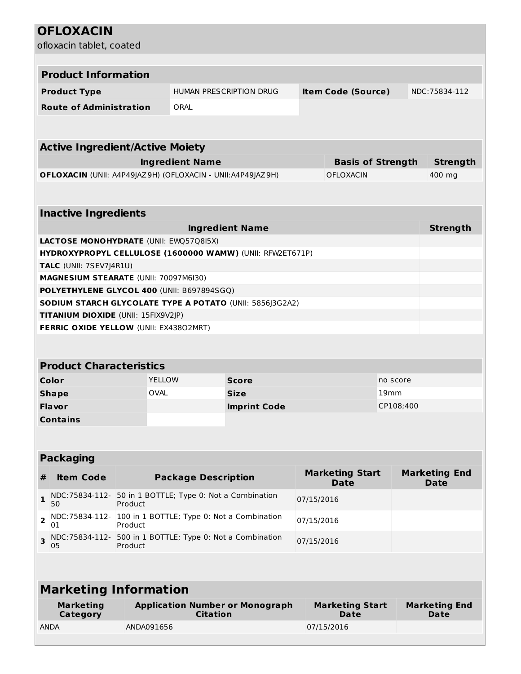|                                                                                      | <b>OFLOXACIN</b>                                                                                 |                         |                                            |                        |                                                                              |            |        |                                     |  |  |  |  |  |
|--------------------------------------------------------------------------------------|--------------------------------------------------------------------------------------------------|-------------------------|--------------------------------------------|------------------------|------------------------------------------------------------------------------|------------|--------|-------------------------------------|--|--|--|--|--|
| ofloxacin tablet, coated                                                             |                                                                                                  |                         |                                            |                        |                                                                              |            |        |                                     |  |  |  |  |  |
|                                                                                      |                                                                                                  |                         |                                            |                        |                                                                              |            |        |                                     |  |  |  |  |  |
|                                                                                      | <b>Product Information</b>                                                                       |                         |                                            |                        |                                                                              |            |        |                                     |  |  |  |  |  |
|                                                                                      | <b>Product Type</b>                                                                              | HUMAN PRESCRIPTION DRUG |                                            |                        | <b>Item Code (Source)</b>                                                    |            |        | NDC:75834-112                       |  |  |  |  |  |
|                                                                                      |                                                                                                  |                         |                                            |                        |                                                                              |            |        |                                     |  |  |  |  |  |
|                                                                                      | <b>Route of Administration</b>                                                                   |                         | ORAL                                       |                        |                                                                              |            |        |                                     |  |  |  |  |  |
|                                                                                      |                                                                                                  |                         |                                            |                        |                                                                              |            |        |                                     |  |  |  |  |  |
| <b>Active Ingredient/Active Moiety</b>                                               |                                                                                                  |                         |                                            |                        |                                                                              |            |        |                                     |  |  |  |  |  |
|                                                                                      |                                                                                                  |                         |                                            |                        |                                                                              |            |        | <b>Strength</b>                     |  |  |  |  |  |
| <b>Ingredient Name</b><br>OFLOXACIN (UNII: A4P49JAZ9H) (OFLOXACIN - UNII:A4P49JAZ9H) |                                                                                                  |                         |                                            |                        | <b>Basis of Strength</b><br><b>OFLOXACIN</b>                                 |            | 400 mg |                                     |  |  |  |  |  |
|                                                                                      |                                                                                                  |                         |                                            |                        |                                                                              |            |        |                                     |  |  |  |  |  |
|                                                                                      |                                                                                                  |                         |                                            |                        |                                                                              |            |        |                                     |  |  |  |  |  |
|                                                                                      | <b>Inactive Ingredients</b>                                                                      |                         |                                            |                        |                                                                              |            |        |                                     |  |  |  |  |  |
|                                                                                      |                                                                                                  |                         |                                            | <b>Ingredient Name</b> |                                                                              |            |        | <b>Strength</b>                     |  |  |  |  |  |
|                                                                                      | <b>LACTOSE MONOHYDRATE (UNII: EWQ57Q8I5X)</b>                                                    |                         |                                            |                        |                                                                              |            |        |                                     |  |  |  |  |  |
| HYDROXYPROPYL CELLULOSE (1600000 WAMW) (UNII: RFW2ET671P)                            |                                                                                                  |                         |                                            |                        |                                                                              |            |        |                                     |  |  |  |  |  |
| TALC (UNII: 7SEV7J4R1U)                                                              |                                                                                                  |                         |                                            |                        |                                                                              |            |        |                                     |  |  |  |  |  |
|                                                                                      | MAGNESIUM STEARATE (UNII: 70097M6I30)                                                            |                         |                                            |                        |                                                                              |            |        |                                     |  |  |  |  |  |
| POLYETHYLENE GLYCOL 400 (UNII: B697894SGQ)                                           |                                                                                                  |                         |                                            |                        |                                                                              |            |        |                                     |  |  |  |  |  |
| SODIUM STARCH GLYCOLATE TYPE A POTATO (UNII: 5856J3G2A2)                             |                                                                                                  |                         |                                            |                        |                                                                              |            |        |                                     |  |  |  |  |  |
| <b>TITANIUM DIOXIDE (UNII: 15FIX9V2JP)</b>                                           |                                                                                                  |                         |                                            |                        |                                                                              |            |        |                                     |  |  |  |  |  |
| FERRIC OXIDE YELLOW (UNII: EX43802MRT)                                               |                                                                                                  |                         |                                            |                        |                                                                              |            |        |                                     |  |  |  |  |  |
|                                                                                      |                                                                                                  |                         |                                            |                        |                                                                              |            |        |                                     |  |  |  |  |  |
|                                                                                      | <b>Product Characteristics</b>                                                                   |                         |                                            |                        |                                                                              |            |        |                                     |  |  |  |  |  |
|                                                                                      | Color                                                                                            |                         | <b>YELLOW</b>                              | <b>Score</b>           |                                                                              | no score   |        |                                     |  |  |  |  |  |
| <b>Shape</b>                                                                         |                                                                                                  | OVAL                    |                                            | <b>Size</b>            |                                                                              | 19mm       |        |                                     |  |  |  |  |  |
| <b>Flavor</b>                                                                        |                                                                                                  |                         |                                            | <b>Imprint Code</b>    |                                                                              | CP108;400  |        |                                     |  |  |  |  |  |
| <b>Contains</b>                                                                      |                                                                                                  |                         |                                            |                        |                                                                              |            |        |                                     |  |  |  |  |  |
|                                                                                      |                                                                                                  |                         |                                            |                        |                                                                              |            |        |                                     |  |  |  |  |  |
|                                                                                      |                                                                                                  |                         |                                            |                        |                                                                              |            |        |                                     |  |  |  |  |  |
|                                                                                      | <b>Packaging</b>                                                                                 |                         |                                            |                        |                                                                              |            |        |                                     |  |  |  |  |  |
| #                                                                                    | <b>Item Code</b>                                                                                 |                         | <b>Package Description</b>                 |                        | <b>Marketing Start</b><br><b>Date</b>                                        |            |        | <b>Marketing End</b><br><b>Date</b> |  |  |  |  |  |
| $\mathbf{1}$                                                                         | NDC: 75834-112-<br>50                                                                            | Product                 | 50 in 1 BOTTLE; Type 0: Not a Combination  |                        | 07/15/2016                                                                   |            |        |                                     |  |  |  |  |  |
| $\overline{\mathbf{c}}$                                                              | NDC: 75834-112-<br>01                                                                            | Product                 | 100 in 1 BOTTLE; Type 0: Not a Combination |                        |                                                                              | 07/15/2016 |        |                                     |  |  |  |  |  |
| 3                                                                                    | NDC: 75834-112-<br>05                                                                            | Product                 | 500 in 1 BOTTLE; Type 0: Not a Combination |                        |                                                                              | 07/15/2016 |        |                                     |  |  |  |  |  |
|                                                                                      |                                                                                                  |                         |                                            |                        |                                                                              |            |        |                                     |  |  |  |  |  |
| <b>Marketing Information</b>                                                         |                                                                                                  |                         |                                            |                        |                                                                              |            |        |                                     |  |  |  |  |  |
|                                                                                      | <b>Application Number or Monograph</b><br><b>Marketing</b><br><b>Citation</b><br><b>Category</b> |                         |                                            |                        | <b>Marketing Start</b><br><b>Marketing End</b><br><b>Date</b><br><b>Date</b> |            |        |                                     |  |  |  |  |  |
| <b>ANDA</b>                                                                          |                                                                                                  | ANDA091656              |                                            |                        |                                                                              | 07/15/2016 |        |                                     |  |  |  |  |  |
|                                                                                      |                                                                                                  |                         |                                            |                        |                                                                              |            |        |                                     |  |  |  |  |  |